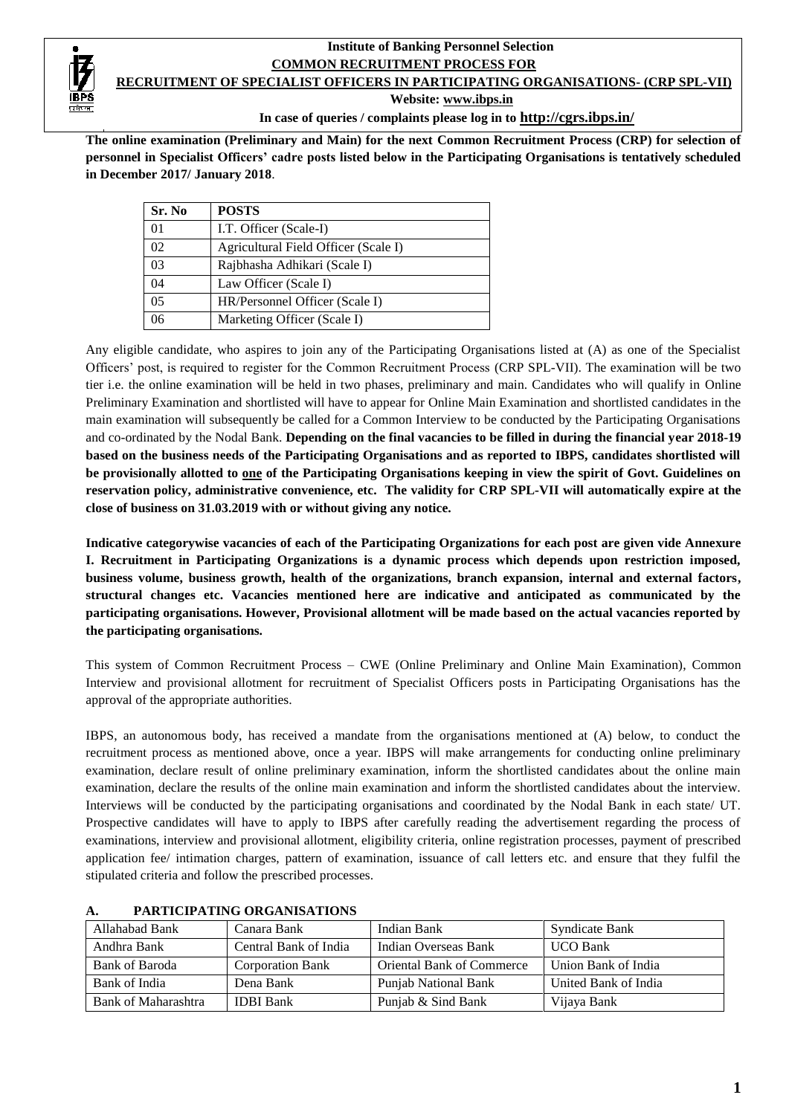## **Institute of Banking Personnel Selection COMMON RECRUITMENT PROCESS FOR RECRUITMENT OF SPECIALIST OFFICERS IN PARTICIPATING ORGANISATIONS- (CRP SPL-VII)**

 **Website[: www.ibps.in](http://www.ibps.in/)**

**In case of queries / complaints please log in to <http://cgrs.ibps.in/>**

**The online examination (Preliminary and Main) for the next Common Recruitment Process (CRP) for selection of personnel in Specialist Officers' cadre posts listed below in the Participating Organisations is tentatively scheduled in December 2017/ January 2018**.

| Sr. No         | <b>POSTS</b>                         |
|----------------|--------------------------------------|
| 0 <sub>1</sub> | I.T. Officer (Scale-I)               |
| 02             | Agricultural Field Officer (Scale I) |
| 0 <sup>3</sup> | Rajbhasha Adhikari (Scale I)         |
| 04             | Law Officer (Scale I)                |
| 0 <sub>5</sub> | HR/Personnel Officer (Scale I)       |
| በ6             | Marketing Officer (Scale I)          |

Any eligible candidate, who aspires to join any of the Participating Organisations listed at (A) as one of the Specialist Officers' post, is required to register for the Common Recruitment Process (CRP SPL-VII). The examination will be two tier i.e. the online examination will be held in two phases, preliminary and main. Candidates who will qualify in Online Preliminary Examination and shortlisted will have to appear for Online Main Examination and shortlisted candidates in the main examination will subsequently be called for a Common Interview to be conducted by the Participating Organisations and co-ordinated by the Nodal Bank. **Depending on the final vacancies to be filled in during the financial year 2018-19 based on the business needs of the Participating Organisations and as reported to IBPS, candidates shortlisted will be provisionally allotted to one of the Participating Organisations keeping in view the spirit of Govt. Guidelines on reservation policy, administrative convenience, etc. The validity for CRP SPL-VII will automatically expire at the close of business on 31.03.2019 with or without giving any notice.**

**Indicative categorywise vacancies of each of the Participating Organizations for each post are given vide Annexure I. Recruitment in Participating Organizations is a dynamic process which depends upon restriction imposed, business volume, business growth, health of the organizations, branch expansion, internal and external factors, structural changes etc. Vacancies mentioned here are indicative and anticipated as communicated by the participating organisations. However, Provisional allotment will be made based on the actual vacancies reported by the participating organisations.**

This system of Common Recruitment Process – CWE (Online Preliminary and Online Main Examination), Common Interview and provisional allotment for recruitment of Specialist Officers posts in Participating Organisations has the approval of the appropriate authorities.

IBPS, an autonomous body, has received a mandate from the organisations mentioned at (A) below, to conduct the recruitment process as mentioned above, once a year. IBPS will make arrangements for conducting online preliminary examination, declare result of online preliminary examination, inform the shortlisted candidates about the online main examination, declare the results of the online main examination and inform the shortlisted candidates about the interview. Interviews will be conducted by the participating organisations and coordinated by the Nodal Bank in each state/ UT. Prospective candidates will have to apply to IBPS after carefully reading the advertisement regarding the process of examinations, interview and provisional allotment, eligibility criteria, online registration processes, payment of prescribed application fee/ intimation charges, pattern of examination, issuance of call letters etc. and ensure that they fulfil the stipulated criteria and follow the prescribed processes.

| Allahabad Bank      | Canara Bank             | Indian Bank                      | Syndicate Bank       |
|---------------------|-------------------------|----------------------------------|----------------------|
| Andhra Bank         | Central Bank of India   | Indian Overseas Bank             | <b>UCO Bank</b>      |
| Bank of Baroda      | <b>Corporation Bank</b> | <b>Oriental Bank of Commerce</b> | Union Bank of India  |
| Bank of India       | Dena Bank               | Punjab National Bank             | United Bank of India |
| Bank of Maharashtra | <b>IDBI</b> Bank        | Punjab & Sind Bank               | Vijaya Bank          |

## **A. PARTICIPATING ORGANISATIONS**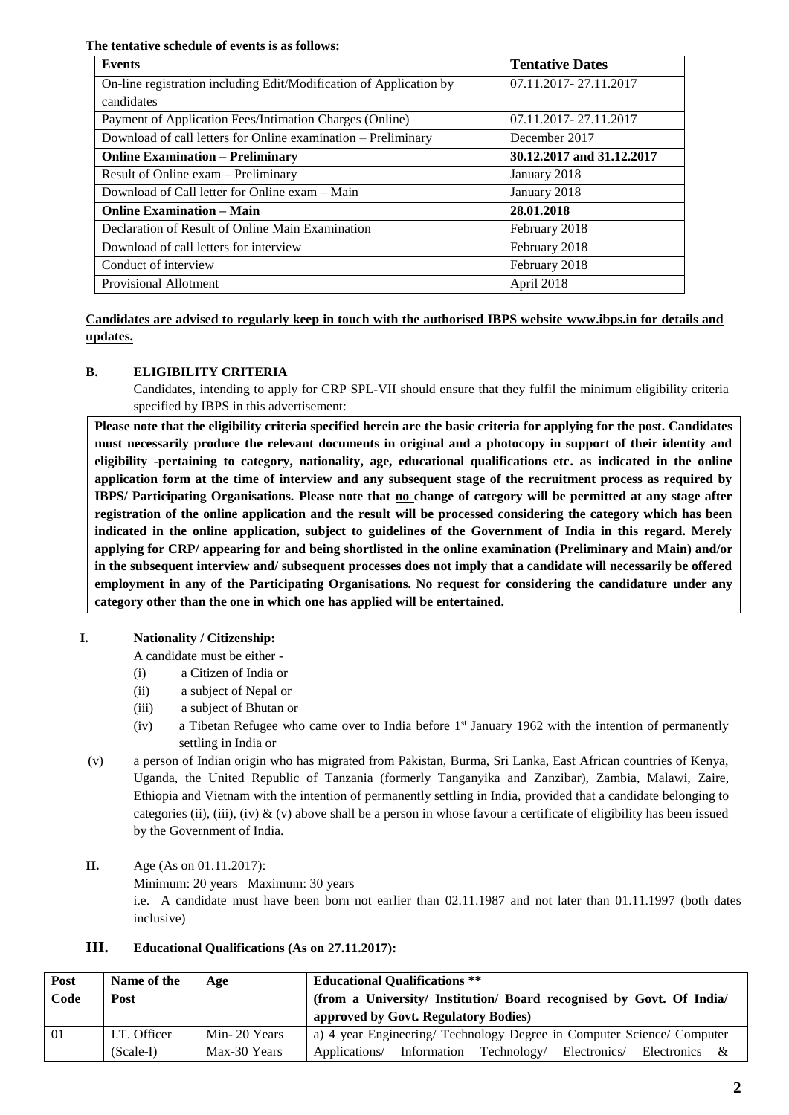**The tentative schedule of events is as follows:**

| <b>Events</b>                                                      | <b>Tentative Dates</b>    |
|--------------------------------------------------------------------|---------------------------|
| On-line registration including Edit/Modification of Application by | 07.11.2017 - 27.11.2017   |
| candidates                                                         |                           |
| Payment of Application Fees/Intimation Charges (Online)            | 07.11.2017-27.11.2017     |
| Download of call letters for Online examination - Preliminary      | December 2017             |
| <b>Online Examination – Preliminary</b>                            | 30.12.2017 and 31.12.2017 |
| Result of Online exam – Preliminary                                | January 2018              |
| Download of Call letter for Online exam - Main                     | January 2018              |
| <b>Online Examination – Main</b>                                   | 28.01.2018                |
| Declaration of Result of Online Main Examination                   | February 2018             |
| Download of call letters for interview                             | February 2018             |
| Conduct of interview                                               | February 2018             |
| Provisional Allotment                                              | April 2018                |

**Candidates are advised to regularly keep in touch with the authorised IBPS website [www.ibps.in](http://www.ibps.in/) for details and updates.** 

## **B. ELIGIBILITY CRITERIA**

Candidates, intending to apply for CRP SPL-VII should ensure that they fulfil the minimum eligibility criteria specified by IBPS in this advertisement:

**Please note that the eligibility criteria specified herein are the basic criteria for applying for the post. Candidates must necessarily produce the relevant documents in original and a photocopy in support of their identity and eligibility -pertaining to category, nationality, age, educational qualifications etc. as indicated in the online application form at the time of interview and any subsequent stage of the recruitment process as required by IBPS/ Participating Organisations. Please note that no change of category will be permitted at any stage after registration of the online application and the result will be processed considering the category which has been indicated in the online application, subject to guidelines of the Government of India in this regard. Merely applying for CRP/ appearing for and being shortlisted in the online examination (Preliminary and Main) and/or in the subsequent interview and/ subsequent processes does not imply that a candidate will necessarily be offered employment in any of the Participating Organisations. No request for considering the candidature under any category other than the one in which one has applied will be entertained.**

## **I. Nationality / Citizenship:**

A candidate must be either -

- (i) a Citizen of India or
- (ii) a subject of Nepal or
- (iii) a subject of Bhutan or
- (iv) a Tibetan Refugee who came over to India before 1st January 1962 with the intention of permanently settling in India or
- (v) a person of Indian origin who has migrated from Pakistan, Burma, Sri Lanka, East African countries of Kenya, Uganda, the United Republic of Tanzania (formerly Tanganyika and Zanzibar), Zambia, Malawi, Zaire, Ethiopia and Vietnam with the intention of permanently settling in India, provided that a candidate belonging to categories (ii), (iii), (iv)  $\&$  (v) above shall be a person in whose favour a certificate of eligibility has been issued by the Government of India.
- **II.** Age (As on 01.11.2017): Minimum: 20 years Maximum: 30 years i.e. A candidate must have been born not earlier than 02.11.1987 and not later than 01.11.1997 (both dates inclusive)

| Post | Name of the  | Age          | <b>Educational Qualifications</b> **                                            |  |  |  |  |  |
|------|--------------|--------------|---------------------------------------------------------------------------------|--|--|--|--|--|
| Code | Post         |              | (from a University/ Institution/ Board recognised by Govt. Of India/            |  |  |  |  |  |
|      |              |              | approved by Govt. Regulatory Bodies)                                            |  |  |  |  |  |
| 01   | I.T. Officer | Min-20 Years | a) 4 year Engineering/ Technology Degree in Computer Science/ Computer          |  |  |  |  |  |
|      | $(Scale-I)$  | Max-30 Years | Information<br>Technology/<br>Applications/<br>Electronics/<br>Electronics<br>& |  |  |  |  |  |

## **III. Educational Qualifications (As on 27.11.2017):**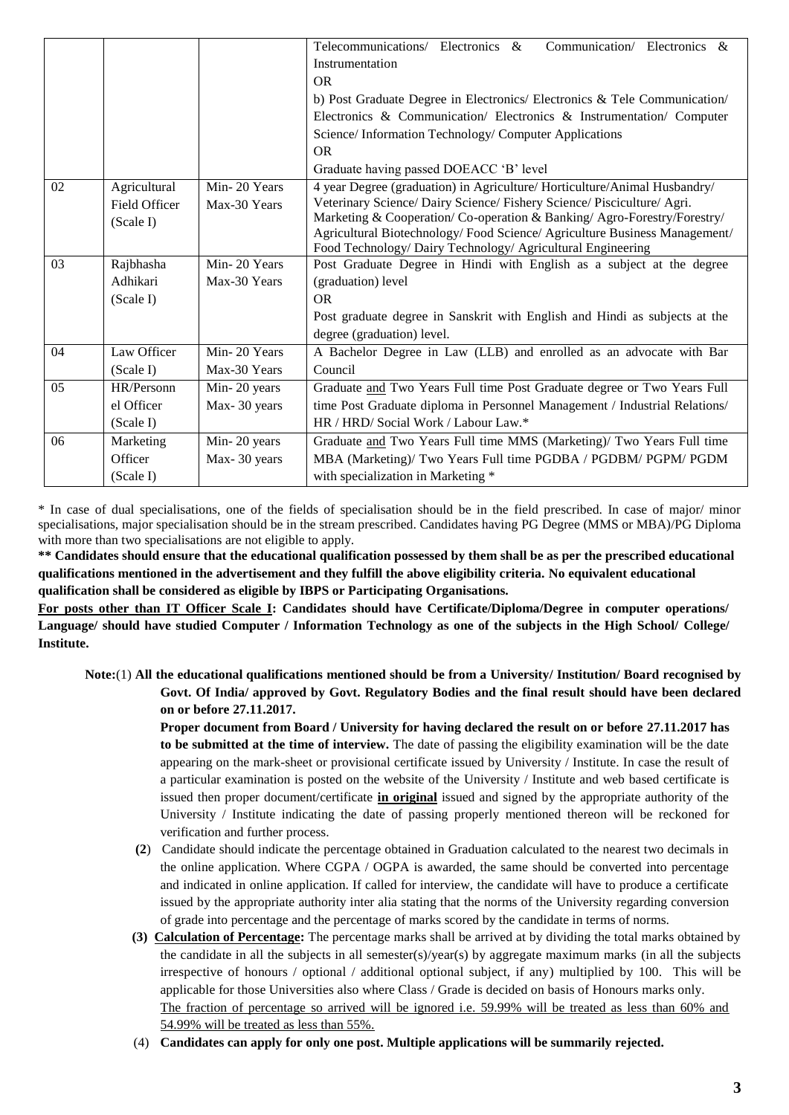|    |               |              | Telecommunications/ Electronics &<br>Communication/ Electronics &          |  |  |  |  |  |  |  |
|----|---------------|--------------|----------------------------------------------------------------------------|--|--|--|--|--|--|--|
|    |               |              | Instrumentation                                                            |  |  |  |  |  |  |  |
|    |               |              | <b>OR</b>                                                                  |  |  |  |  |  |  |  |
|    |               |              | b) Post Graduate Degree in Electronics/ Electronics & Tele Communication/  |  |  |  |  |  |  |  |
|    |               |              | Electronics & Communication/ Electronics & Instrumentation/ Computer       |  |  |  |  |  |  |  |
|    |               |              | Science/ Information Technology/ Computer Applications                     |  |  |  |  |  |  |  |
|    |               |              | OR.                                                                        |  |  |  |  |  |  |  |
|    |               |              | Graduate having passed DOEACC 'B' level                                    |  |  |  |  |  |  |  |
| 02 | Agricultural  | Min-20 Years | 4 year Degree (graduation) in Agriculture/ Horticulture/Animal Husbandry/  |  |  |  |  |  |  |  |
|    | Field Officer | Max-30 Years | Veterinary Science/ Dairy Science/ Fishery Science/ Pisciculture/ Agri.    |  |  |  |  |  |  |  |
|    | (Scale I)     |              | Marketing & Cooperation/ Co-operation & Banking/ Agro-Forestry/Forestry/   |  |  |  |  |  |  |  |
|    |               |              | Agricultural Biotechnology/Food Science/Agriculture Business Management/   |  |  |  |  |  |  |  |
|    |               |              | Food Technology/ Dairy Technology/ Agricultural Engineering                |  |  |  |  |  |  |  |
| 03 | Rajbhasha     | Min-20 Years | Post Graduate Degree in Hindi with English as a subject at the degree      |  |  |  |  |  |  |  |
|    | Adhikari      | Max-30 Years | (graduation) level                                                         |  |  |  |  |  |  |  |
|    | (Scale I)     |              | OR.                                                                        |  |  |  |  |  |  |  |
|    |               |              | Post graduate degree in Sanskrit with English and Hindi as subjects at the |  |  |  |  |  |  |  |
|    |               |              | degree (graduation) level.                                                 |  |  |  |  |  |  |  |
| 04 | Law Officer   | Min-20 Years | A Bachelor Degree in Law (LLB) and enrolled as an advocate with Bar        |  |  |  |  |  |  |  |
|    | (Scale I)     | Max-30 Years | Council                                                                    |  |  |  |  |  |  |  |
| 05 | HR/Personn    | Min-20 years | Graduate and Two Years Full time Post Graduate degree or Two Years Full    |  |  |  |  |  |  |  |
|    | el Officer    | Max-30 years | time Post Graduate diploma in Personnel Management / Industrial Relations/ |  |  |  |  |  |  |  |
|    | (Scale I)     |              | HR / HRD/ Social Work / Labour Law.*                                       |  |  |  |  |  |  |  |
| 06 | Marketing     | Min-20 years | Graduate and Two Years Full time MMS (Marketing)/ Two Years Full time      |  |  |  |  |  |  |  |
|    | Officer       | Max-30 years | MBA (Marketing)/ Two Years Full time PGDBA / PGDBM/ PGPM/ PGDM             |  |  |  |  |  |  |  |
|    | (Scale I)     |              | with specialization in Marketing *                                         |  |  |  |  |  |  |  |

\* In case of dual specialisations, one of the fields of specialisation should be in the field prescribed. In case of major/ minor specialisations, major specialisation should be in the stream prescribed. Candidates having PG Degree (MMS or MBA)/PG Diploma with more than two specialisations are not eligible to apply.

**\*\* Candidates should ensure that the educational qualification possessed by them shall be as per the prescribed educational qualifications mentioned in the advertisement and they fulfill the above eligibility criteria. No equivalent educational qualification shall be considered as eligible by IBPS or Participating Organisations.**

**For posts other than IT Officer Scale I: Candidates should have Certificate/Diploma/Degree in computer operations/ Language/ should have studied Computer / Information Technology as one of the subjects in the High School/ College/ Institute.** 

**Note:**(1) **All the educational qualifications mentioned should be from a University/ Institution/ Board recognised by Govt. Of India/ approved by Govt. Regulatory Bodies and the final result should have been declared on or before 27.11.2017.**

> **Proper document from Board / University for having declared the result on or before 27.11.2017 has to be submitted at the time of interview.** The date of passing the eligibility examination will be the date appearing on the mark-sheet or provisional certificate issued by University / Institute. In case the result of a particular examination is posted on the website of the University / Institute and web based certificate is issued then proper document/certificate **in original** issued and signed by the appropriate authority of the University / Institute indicating the date of passing properly mentioned thereon will be reckoned for verification and further process.

- **(2**) Candidate should indicate the percentage obtained in Graduation calculated to the nearest two decimals in the online application. Where CGPA / OGPA is awarded, the same should be converted into percentage and indicated in online application. If called for interview, the candidate will have to produce a certificate issued by the appropriate authority inter alia stating that the norms of the University regarding conversion of grade into percentage and the percentage of marks scored by the candidate in terms of norms.
- **(3) Calculation of Percentage:** The percentage marks shall be arrived at by dividing the total marks obtained by the candidate in all the subjects in all semester(s)/year(s) by aggregate maximum marks (in all the subjects irrespective of honours / optional / additional optional subject, if any) multiplied by 100. This will be applicable for those Universities also where Class / Grade is decided on basis of Honours marks only. The fraction of percentage so arrived will be ignored i.e. 59.99% will be treated as less than 60% and 54.99% will be treated as less than 55%.
- (4) **Candidates can apply for only one post. Multiple applications will be summarily rejected.**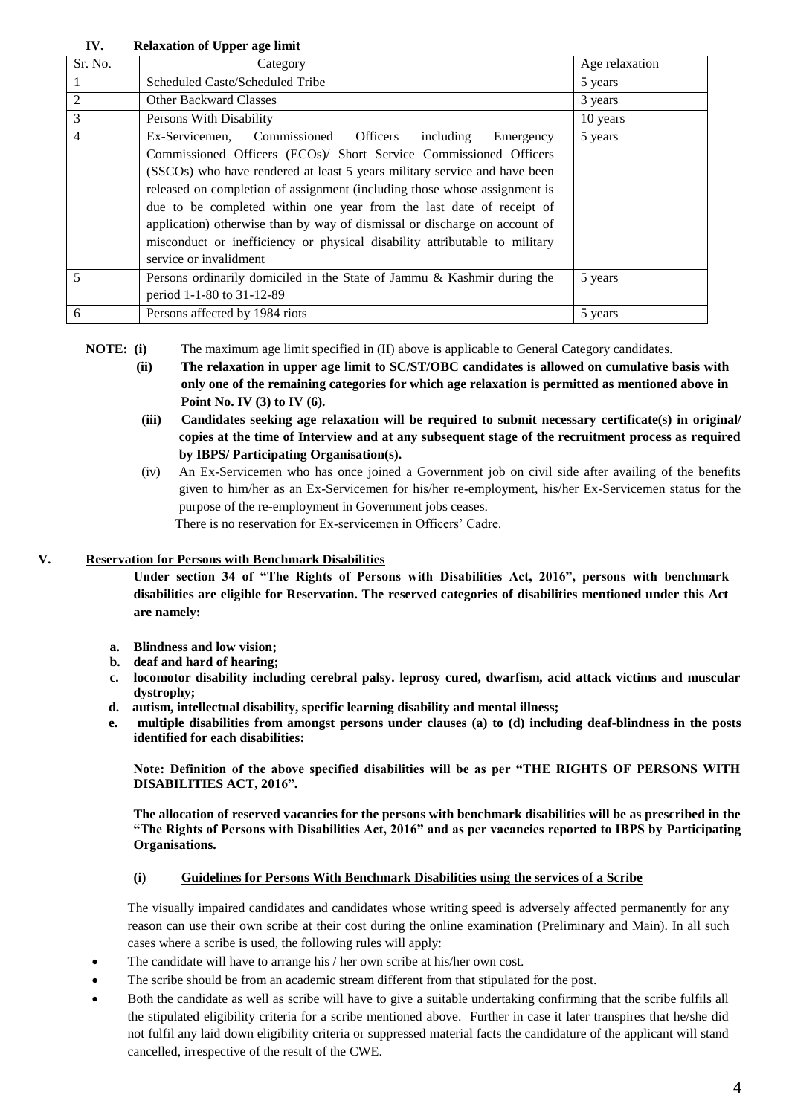**IV. Relaxation of Upper age limit**

| Sr. No.        | Category                                                                                                                                                                                                                                                                                                                                                                                                                                                                                                                                                                 | Age relaxation |
|----------------|--------------------------------------------------------------------------------------------------------------------------------------------------------------------------------------------------------------------------------------------------------------------------------------------------------------------------------------------------------------------------------------------------------------------------------------------------------------------------------------------------------------------------------------------------------------------------|----------------|
|                | Scheduled Caste/Scheduled Tribe                                                                                                                                                                                                                                                                                                                                                                                                                                                                                                                                          | 5 years        |
| 2              | <b>Other Backward Classes</b>                                                                                                                                                                                                                                                                                                                                                                                                                                                                                                                                            | 3 years        |
| 3              | Persons With Disability                                                                                                                                                                                                                                                                                                                                                                                                                                                                                                                                                  | 10 years       |
| 4              | Commissioned<br><b>Officers</b><br>Ex-Servicemen.<br>including<br>Emergency<br>Commissioned Officers (ECOs)/ Short Service Commissioned Officers<br>(SSCOs) who have rendered at least 5 years military service and have been<br>released on completion of assignment (including those whose assignment is<br>due to be completed within one year from the last date of receipt of<br>application) otherwise than by way of dismissal or discharge on account of<br>misconduct or inefficiency or physical disability attributable to military<br>service or invalidment | 5 years        |
| $\overline{5}$ | Persons ordinarily domiciled in the State of Jammu & Kashmir during the<br>period 1-1-80 to 31-12-89                                                                                                                                                                                                                                                                                                                                                                                                                                                                     | 5 years        |
| 6              | Persons affected by 1984 riots                                                                                                                                                                                                                                                                                                                                                                                                                                                                                                                                           | 5 years        |

**NOTE:** (i) The maximum age limit specified in (II) above is applicable to General Category candidates.

- **(ii) The relaxation in upper age limit to SC/ST/OBC candidates is allowed on cumulative basis with only one of the remaining categories for which age relaxation is permitted as mentioned above in Point No. IV (3) to IV (6).**
- **(iii) Candidates seeking age relaxation will be required to submit necessary certificate(s) in original/ copies at the time of Interview and at any subsequent stage of the recruitment process as required by IBPS/ Participating Organisation(s).**
- (iv) An Ex-Servicemen who has once joined a Government job on civil side after availing of the benefits given to him/her as an Ex-Servicemen for his/her re-employment, his/her Ex-Servicemen status for the purpose of the re-employment in Government jobs ceases. There is no reservation for Ex-servicemen in Officers' Cadre.

# **V. Reservation for Persons with Benchmark Disabilities**

**Under section 34 of "The Rights of Persons with Disabilities Act, 2016", persons with benchmark disabilities are eligible for Reservation. The reserved categories of disabilities mentioned under this Act are namely:**

- **a. Blindness and low vision;**
- **b. deaf and hard of hearing;**
- **c. locomotor disability including cerebral palsy. leprosy cured, dwarfism, acid attack victims and muscular dystrophy;**
- **d. autism, intellectual disability, specific learning disability and mental illness;**
- **e. multiple disabilities from amongst persons under clauses (a) to (d) including deaf-blindness in the posts identified for each disabilities:**

**Note: Definition of the above specified disabilities will be as per "THE RIGHTS OF PERSONS WITH DISABILITIES ACT, 2016".**

**The allocation of reserved vacancies for the persons with benchmark disabilities will be as prescribed in the "The Rights of Persons with Disabilities Act, 2016" and as per vacancies reported to IBPS by Participating Organisations.**

# **(i) Guidelines for Persons With Benchmark Disabilities using the services of a Scribe**

The visually impaired candidates and candidates whose writing speed is adversely affected permanently for any reason can use their own scribe at their cost during the online examination (Preliminary and Main). In all such cases where a scribe is used, the following rules will apply:

- The candidate will have to arrange his / her own scribe at his/her own cost.
- The scribe should be from an academic stream different from that stipulated for the post.
- Both the candidate as well as scribe will have to give a suitable undertaking confirming that the scribe fulfils all the stipulated eligibility criteria for a scribe mentioned above. Further in case it later transpires that he/she did not fulfil any laid down eligibility criteria or suppressed material facts the candidature of the applicant will stand cancelled, irrespective of the result of the CWE.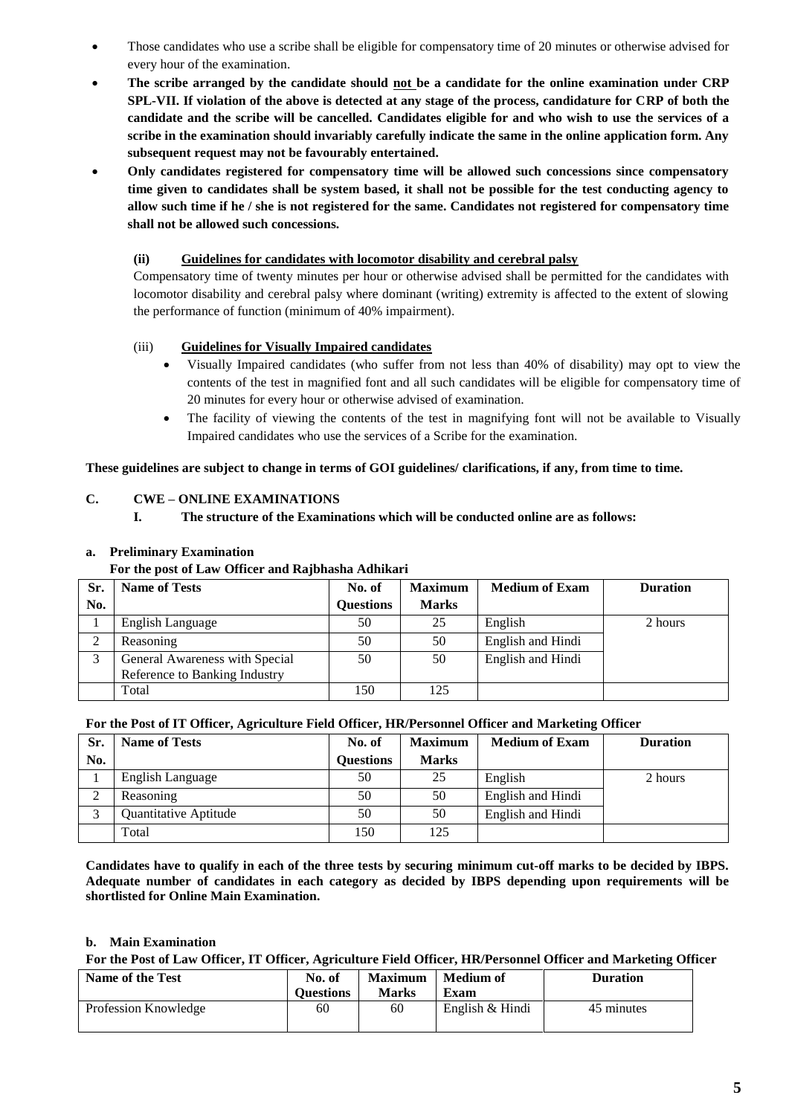- Those candidates who use a scribe shall be eligible for compensatory time of 20 minutes or otherwise advised for every hour of the examination.
- **The scribe arranged by the candidate should not be a candidate for the online examination under CRP SPL-VII. If violation of the above is detected at any stage of the process, candidature for CRP of both the candidate and the scribe will be cancelled. Candidates eligible for and who wish to use the services of a scribe in the examination should invariably carefully indicate the same in the online application form. Any subsequent request may not be favourably entertained.**
- **Only candidates registered for compensatory time will be allowed such concessions since compensatory time given to candidates shall be system based, it shall not be possible for the test conducting agency to allow such time if he / she is not registered for the same. Candidates not registered for compensatory time shall not be allowed such concessions.**

#### **(ii) Guidelines for candidates with locomotor disability and cerebral palsy**

Compensatory time of twenty minutes per hour or otherwise advised shall be permitted for the candidates with locomotor disability and cerebral palsy where dominant (writing) extremity is affected to the extent of slowing the performance of function (minimum of 40% impairment).

## (iii) **Guidelines for Visually Impaired candidates**

- Visually Impaired candidates (who suffer from not less than 40% of disability) may opt to view the contents of the test in magnified font and all such candidates will be eligible for compensatory time of 20 minutes for every hour or otherwise advised of examination.
- The facility of viewing the contents of the test in magnifying font will not be available to Visually Impaired candidates who use the services of a Scribe for the examination.

**These guidelines are subject to change in terms of GOI guidelines/ clarifications, if any, from time to time.**

#### **C. CWE – ONLINE EXAMINATIONS**

**I. The structure of the Examinations which will be conducted online are as follows:**

#### **a. Preliminary Examination**

#### **For the post of Law Officer and Rajbhasha Adhikari**

| Sr. | <b>Name of Tests</b>                                            | No. of           | <b>Maximum</b> | <b>Medium of Exam</b> | <b>Duration</b> |
|-----|-----------------------------------------------------------------|------------------|----------------|-----------------------|-----------------|
| No. |                                                                 | <b>Ouestions</b> | <b>Marks</b>   |                       |                 |
|     | English Language                                                | 50               | 25             | English               | 2 hours         |
|     | Reasoning                                                       | 50               | 50             | English and Hindi     |                 |
|     | General Awareness with Special<br>Reference to Banking Industry | 50               | 50             | English and Hindi     |                 |
|     | Total                                                           | 150              | 125            |                       |                 |

#### **For the Post of IT Officer, Agriculture Field Officer, HR/Personnel Officer and Marketing Officer**

| Sr. | <b>Name of Tests</b>    | No. of           | <b>Maximum</b> | <b>Medium of Exam</b> | <b>Duration</b> |
|-----|-------------------------|------------------|----------------|-----------------------|-----------------|
| No. |                         | <b>Ouestions</b> | <b>Marks</b>   |                       |                 |
|     | <b>English Language</b> | 50               | 25             | English               | 2 hours         |
|     | Reasoning               | 50               | 50             | English and Hindi     |                 |
|     | Quantitative Aptitude   | 50               | 50             | English and Hindi     |                 |
|     | Total                   | 150              | 125            |                       |                 |

**Candidates have to qualify in each of the three tests by securing minimum cut-off marks to be decided by IBPS. Adequate number of candidates in each category as decided by IBPS depending upon requirements will be shortlisted for Online Main Examination.**

#### **b. Main Examination**

**For the Post of Law Officer, IT Officer, Agriculture Field Officer, HR/Personnel Officer and Marketing Officer**

| Name of the Test     | No. of<br><b>Ouestions</b> | <b>Maximum</b><br><b>Marks</b> | <b>Medium of</b><br>Exam | <b>Duration</b> |
|----------------------|----------------------------|--------------------------------|--------------------------|-----------------|
| Profession Knowledge | 60                         | 60                             | English & Hindi          | 45 minutes      |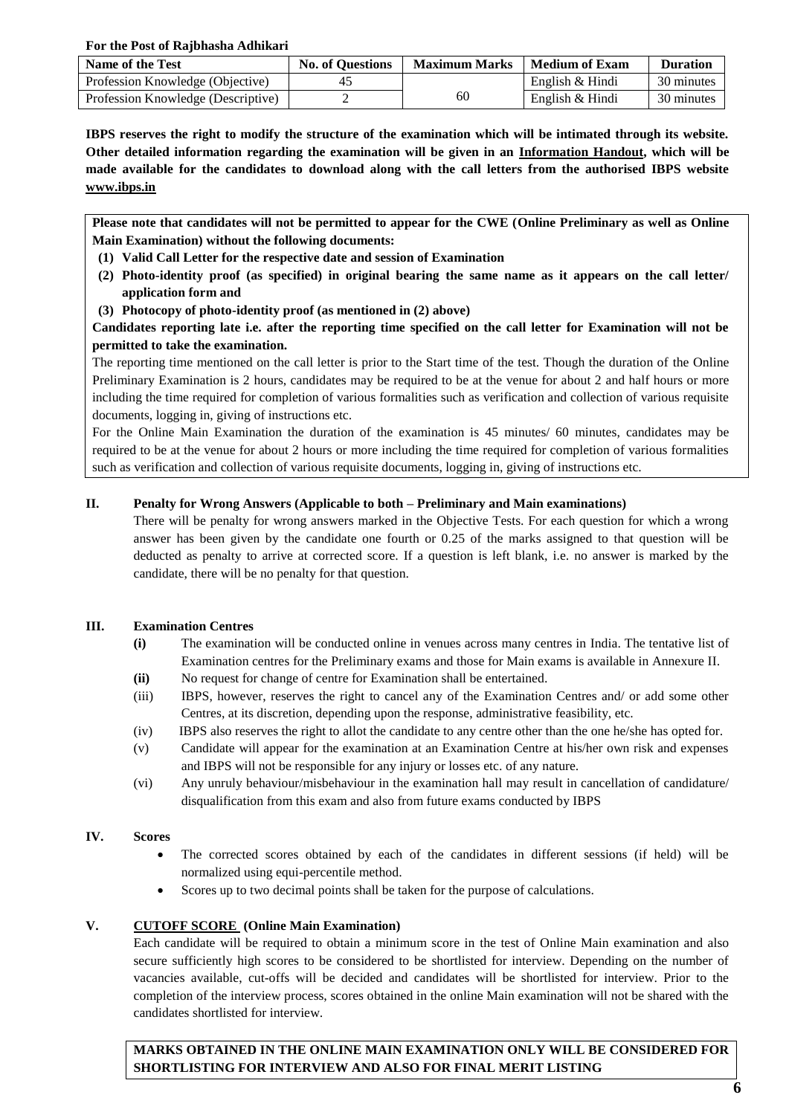**For the Post of Rajbhasha Adhikari**

| Name of the Test                   | <b>No. of Questions</b> | <b>Maximum Marks</b> | Medium of Exam  | <b>Duration</b> |
|------------------------------------|-------------------------|----------------------|-----------------|-----------------|
| Profession Knowledge (Objective)   |                         |                      | English & Hindi | 30 minutes      |
| Profession Knowledge (Descriptive) |                         | 60                   | English & Hindi | 30 minutes      |

**IBPS reserves the right to modify the structure of the examination which will be intimated through its website. Other detailed information regarding the examination will be given in an Information Handout, which will be made available for the candidates to download along with the call letters from the authorised IBPS website [www.ibps.in](http://www.ibps.in/)**

**Please note that candidates will not be permitted to appear for the CWE (Online Preliminary as well as Online Main Examination) without the following documents:** 

- **(1) Valid Call Letter for the respective date and session of Examination**
- **(2) Photo-identity proof (as specified) in original bearing the same name as it appears on the call letter/ application form and**
- **(3) Photocopy of photo-identity proof (as mentioned in (2) above)**

**Candidates reporting late i.e. after the reporting time specified on the call letter for Examination will not be permitted to take the examination.**

The reporting time mentioned on the call letter is prior to the Start time of the test. Though the duration of the Online Preliminary Examination is 2 hours, candidates may be required to be at the venue for about 2 and half hours or more including the time required for completion of various formalities such as verification and collection of various requisite documents, logging in, giving of instructions etc.

For the Online Main Examination the duration of the examination is 45 minutes/ 60 minutes, candidates may be required to be at the venue for about 2 hours or more including the time required for completion of various formalities such as verification and collection of various requisite documents, logging in, giving of instructions etc.

## **II. Penalty for Wrong Answers (Applicable to both – Preliminary and Main examinations)**

There will be penalty for wrong answers marked in the Objective Tests. For each question for which a wrong answer has been given by the candidate one fourth or 0.25 of the marks assigned to that question will be deducted as penalty to arrive at corrected score. If a question is left blank, i.e. no answer is marked by the candidate, there will be no penalty for that question.

#### **III. Examination Centres**

- **(i)** The examination will be conducted online in venues across many centres in India. The tentative list of Examination centres for the Preliminary exams and those for Main exams is available in Annexure II.
- **(ii)** No request for change of centre for Examination shall be entertained.
- (iii) IBPS, however, reserves the right to cancel any of the Examination Centres and/ or add some other Centres, at its discretion, depending upon the response, administrative feasibility, etc.
- (iv) IBPS also reserves the right to allot the candidate to any centre other than the one he/she has opted for.
- (v) Candidate will appear for the examination at an Examination Centre at his/her own risk and expenses and IBPS will not be responsible for any injury or losses etc. of any nature.
- (vi) Any unruly behaviour/misbehaviour in the examination hall may result in cancellation of candidature/ disqualification from this exam and also from future exams conducted by IBPS

## **IV. Scores**

- The corrected scores obtained by each of the candidates in different sessions (if held) will be normalized using equi-percentile method.
- Scores up to two decimal points shall be taken for the purpose of calculations.

## **V. CUTOFF SCORE (Online Main Examination)**

Each candidate will be required to obtain a minimum score in the test of Online Main examination and also secure sufficiently high scores to be considered to be shortlisted for interview. Depending on the number of vacancies available, cut-offs will be decided and candidates will be shortlisted for interview. Prior to the completion of the interview process, scores obtained in the online Main examination will not be shared with the candidates shortlisted for interview.

**MARKS OBTAINED IN THE ONLINE MAIN EXAMINATION ONLY WILL BE CONSIDERED FOR SHORTLISTING FOR INTERVIEW AND ALSO FOR FINAL MERIT LISTING**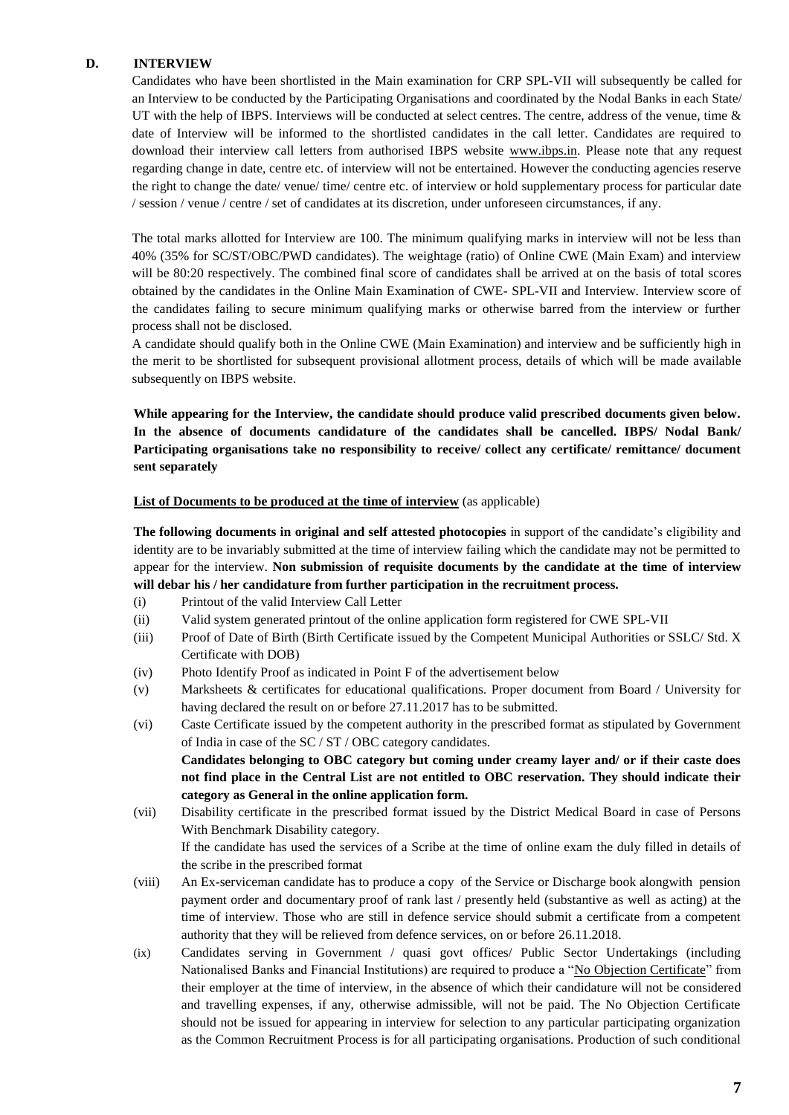#### **D. INTERVIEW**

Candidates who have been shortlisted in the Main examination for CRP SPL-VII will subsequently be called for an Interview to be conducted by the Participating Organisations and coordinated by the Nodal Banks in each State/ UT with the help of IBPS. Interviews will be conducted at select centres. The centre, address of the venue, time  $\&$ date of Interview will be informed to the shortlisted candidates in the call letter. Candidates are required to download their interview call letters from authorised IBPS website [www.ibps.in.](http://www.ibps.in/) Please note that any request regarding change in date, centre etc. of interview will not be entertained. However the conducting agencies reserve the right to change the date/ venue/ time/ centre etc. of interview or hold supplementary process for particular date / session / venue / centre / set of candidates at its discretion, under unforeseen circumstances, if any.

The total marks allotted for Interview are 100. The minimum qualifying marks in interview will not be less than 40% (35% for SC/ST/OBC/PWD candidates). The weightage (ratio) of Online CWE (Main Exam) and interview will be 80:20 respectively. The combined final score of candidates shall be arrived at on the basis of total scores obtained by the candidates in the Online Main Examination of CWE- SPL-VII and Interview. Interview score of the candidates failing to secure minimum qualifying marks or otherwise barred from the interview or further process shall not be disclosed.

A candidate should qualify both in the Online CWE (Main Examination) and interview and be sufficiently high in the merit to be shortlisted for subsequent provisional allotment process, details of which will be made available subsequently on IBPS website.

**While appearing for the Interview, the candidate should produce valid prescribed documents given below. In the absence of documents candidature of the candidates shall be cancelled. IBPS/ Nodal Bank/ Participating organisations take no responsibility to receive/ collect any certificate/ remittance/ document sent separately**

#### **List of Documents to be produced at the time of interview** (as applicable)

**The following documents in original and self attested photocopies** in support of the candidate's eligibility and identity are to be invariably submitted at the time of interview failing which the candidate may not be permitted to appear for the interview. **Non submission of requisite documents by the candidate at the time of interview will debar his / her candidature from further participation in the recruitment process.**

- (i) Printout of the valid Interview Call Letter
- (ii) Valid system generated printout of the online application form registered for CWE SPL-VII
- (iii) Proof of Date of Birth (Birth Certificate issued by the Competent Municipal Authorities or SSLC/ Std. X Certificate with DOB)
- (iv) Photo Identify Proof as indicated in Point F of the advertisement below
- (v) Marksheets & certificates for educational qualifications. Proper document from Board / University for having declared the result on or before 27.11.2017 has to be submitted.
- (vi) Caste Certificate issued by the competent authority in the prescribed format as stipulated by Government of India in case of the SC / ST / OBC category candidates.

**Candidates belonging to OBC category but coming under creamy layer and/ or if their caste does not find place in the Central List are not entitled to OBC reservation. They should indicate their category as General in the online application form.**

(vii) Disability certificate in the prescribed format issued by the District Medical Board in case of Persons With Benchmark Disability category.

If the candidate has used the services of a Scribe at the time of online exam the duly filled in details of the scribe in the prescribed format

- (viii) An Ex-serviceman candidate has to produce a copy of the Service or Discharge book alongwith pension payment order and documentary proof of rank last / presently held (substantive as well as acting) at the time of interview. Those who are still in defence service should submit a certificate from a competent authority that they will be relieved from defence services, on or before 26.11.2018.
- (ix) Candidates serving in Government / quasi govt offices/ Public Sector Undertakings (including Nationalised Banks and Financial Institutions) are required to produce a "No Objection Certificate" from their employer at the time of interview, in the absence of which their candidature will not be considered and travelling expenses, if any, otherwise admissible, will not be paid. The No Objection Certificate should not be issued for appearing in interview for selection to any particular participating organization as the Common Recruitment Process is for all participating organisations. Production of such conditional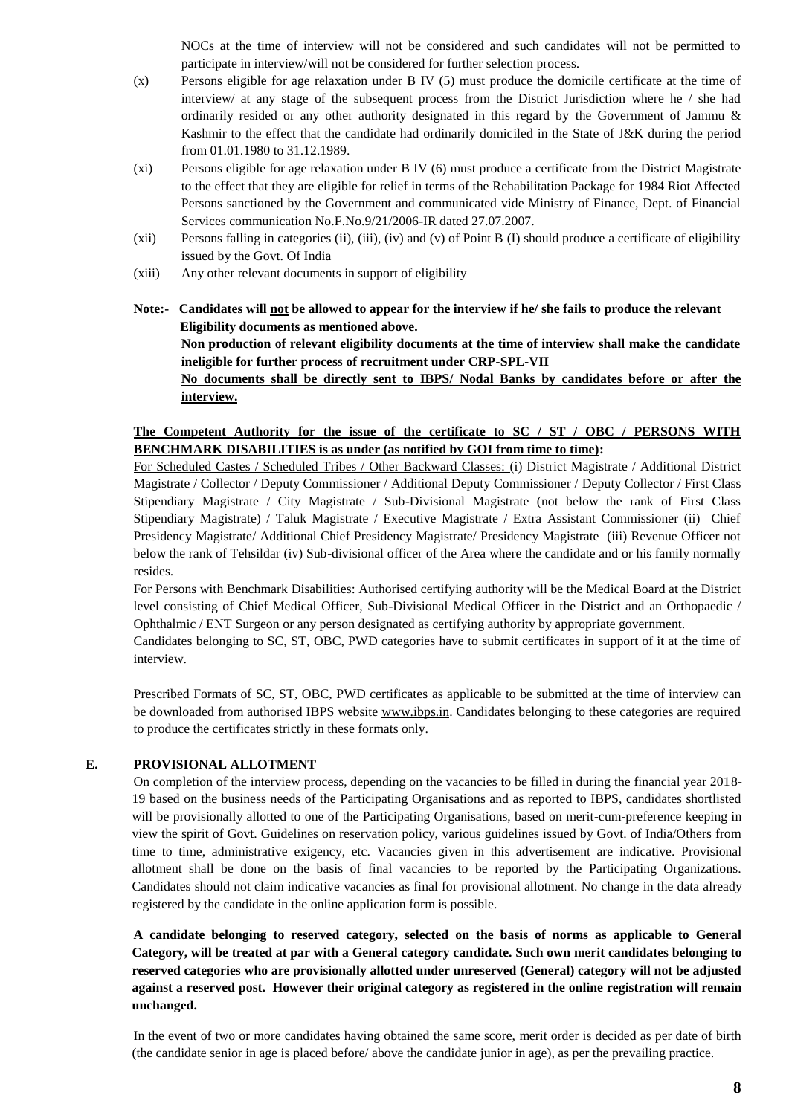NOCs at the time of interview will not be considered and such candidates will not be permitted to participate in interview/will not be considered for further selection process.

- (x) Persons eligible for age relaxation under B IV (5) must produce the domicile certificate at the time of interview/ at any stage of the subsequent process from the District Jurisdiction where he / she had ordinarily resided or any other authority designated in this regard by the Government of Jammu & Kashmir to the effect that the candidate had ordinarily domiciled in the State of J&K during the period from 01.01.1980 to 31.12.1989.
- (xi) Persons eligible for age relaxation under B IV (6) must produce a certificate from the District Magistrate to the effect that they are eligible for relief in terms of the Rehabilitation Package for 1984 Riot Affected Persons sanctioned by the Government and communicated vide Ministry of Finance, Dept. of Financial Services communication No.F.No.9/21/2006-IR dated 27.07.2007.
- (xii) Persons falling in categories (ii), (iii), (iv) and (v) of Point B (I) should produce a certificate of eligibility issued by the Govt. Of India
- (xiii) Any other relevant documents in support of eligibility
- **Note:- Candidates will not be allowed to appear for the interview if he/ she fails to produce the relevant Eligibility documents as mentioned above. Non production of relevant eligibility documents at the time of interview shall make the candidate ineligible for further process of recruitment under CRP-SPL-VII No documents shall be directly sent to IBPS/ Nodal Banks by candidates before or after the interview.**

## **The Competent Authority for the issue of the certificate to SC / ST / OBC / PERSONS WITH BENCHMARK DISABILITIES is as under (as notified by GOI from time to time):**

For Scheduled Castes / Scheduled Tribes / Other Backward Classes: (i) District Magistrate / Additional District Magistrate / Collector / Deputy Commissioner / Additional Deputy Commissioner / Deputy Collector / First Class Stipendiary Magistrate / City Magistrate / Sub-Divisional Magistrate (not below the rank of First Class Stipendiary Magistrate) / Taluk Magistrate / Executive Magistrate / Extra Assistant Commissioner (ii) Chief Presidency Magistrate/ Additional Chief Presidency Magistrate/ Presidency Magistrate (iii) Revenue Officer not below the rank of Tehsildar (iv) Sub-divisional officer of the Area where the candidate and or his family normally resides.

For Persons with Benchmark Disabilities: Authorised certifying authority will be the Medical Board at the District level consisting of Chief Medical Officer, Sub-Divisional Medical Officer in the District and an Orthopaedic / Ophthalmic / ENT Surgeon or any person designated as certifying authority by appropriate government.

Candidates belonging to SC, ST, OBC, PWD categories have to submit certificates in support of it at the time of interview.

Prescribed Formats of SC, ST, OBC, PWD certificates as applicable to be submitted at the time of interview can be downloaded from authorised IBPS website [www.ibps.in.](http://www.ibps.in/) Candidates belonging to these categories are required to produce the certificates strictly in these formats only.

## **E. PROVISIONAL ALLOTMENT**

On completion of the interview process, depending on the vacancies to be filled in during the financial year 2018- 19 based on the business needs of the Participating Organisations and as reported to IBPS, candidates shortlisted will be provisionally allotted to one of the Participating Organisations, based on merit-cum-preference keeping in view the spirit of Govt. Guidelines on reservation policy, various guidelines issued by Govt. of India/Others from time to time, administrative exigency, etc. Vacancies given in this advertisement are indicative. Provisional allotment shall be done on the basis of final vacancies to be reported by the Participating Organizations. Candidates should not claim indicative vacancies as final for provisional allotment. No change in the data already registered by the candidate in the online application form is possible.

**A candidate belonging to reserved category, selected on the basis of norms as applicable to General Category, will be treated at par with a General category candidate. Such own merit candidates belonging to reserved categories who are provisionally allotted under unreserved (General) category will not be adjusted against a reserved post. However their original category as registered in the online registration will remain unchanged.**

In the event of two or more candidates having obtained the same score, merit order is decided as per date of birth (the candidate senior in age is placed before/ above the candidate junior in age), as per the prevailing practice.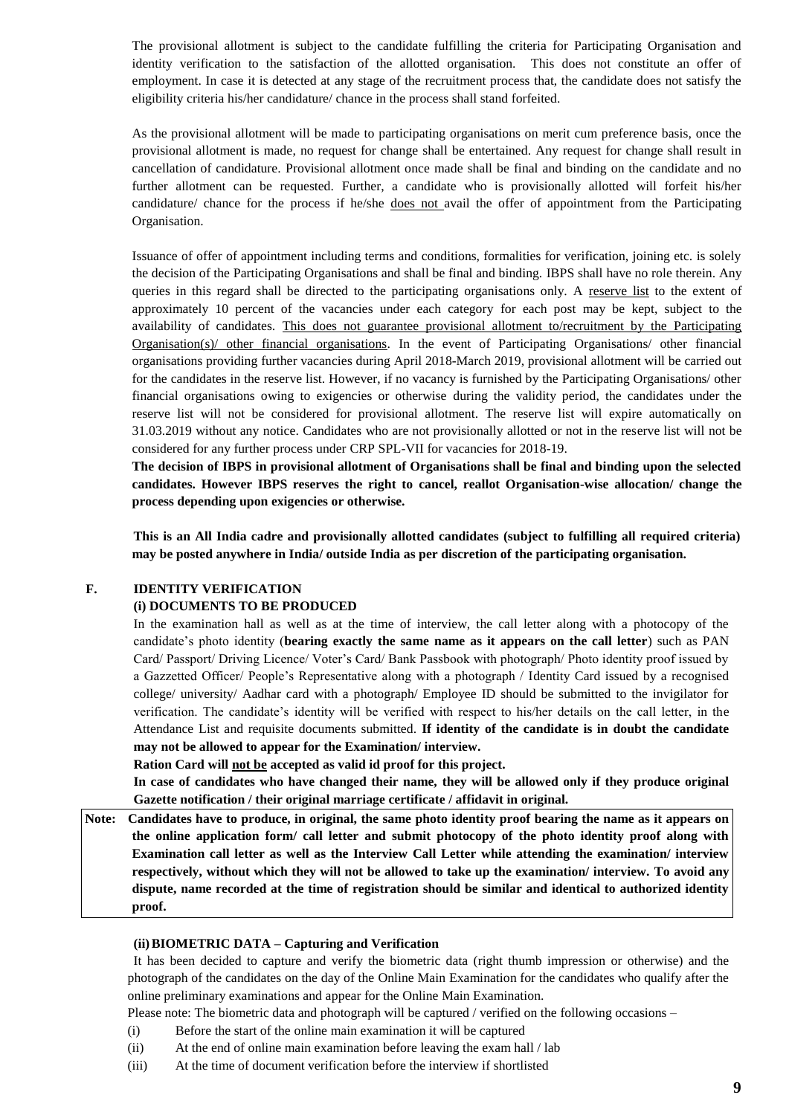The provisional allotment is subject to the candidate fulfilling the criteria for Participating Organisation and identity verification to the satisfaction of the allotted organisation. This does not constitute an offer of employment. In case it is detected at any stage of the recruitment process that, the candidate does not satisfy the eligibility criteria his/her candidature/ chance in the process shall stand forfeited.

As the provisional allotment will be made to participating organisations on merit cum preference basis, once the provisional allotment is made, no request for change shall be entertained. Any request for change shall result in cancellation of candidature. Provisional allotment once made shall be final and binding on the candidate and no further allotment can be requested. Further, a candidate who is provisionally allotted will forfeit his/her candidature/ chance for the process if he/she does not avail the offer of appointment from the Participating Organisation.

Issuance of offer of appointment including terms and conditions, formalities for verification, joining etc. is solely the decision of the Participating Organisations and shall be final and binding. IBPS shall have no role therein. Any queries in this regard shall be directed to the participating organisations only. A reserve list to the extent of approximately 10 percent of the vacancies under each category for each post may be kept, subject to the availability of candidates. This does not guarantee provisional allotment to/recruitment by the Participating Organisation(s)/ other financial organisations. In the event of Participating Organisations/ other financial organisations providing further vacancies during April 2018-March 2019, provisional allotment will be carried out for the candidates in the reserve list. However, if no vacancy is furnished by the Participating Organisations/ other financial organisations owing to exigencies or otherwise during the validity period, the candidates under the reserve list will not be considered for provisional allotment. The reserve list will expire automatically on 31.03.2019 without any notice. Candidates who are not provisionally allotted or not in the reserve list will not be considered for any further process under CRP SPL-VII for vacancies for 2018-19.

**The decision of IBPS in provisional allotment of Organisations shall be final and binding upon the selected candidates. However IBPS reserves the right to cancel, reallot Organisation-wise allocation/ change the process depending upon exigencies or otherwise.**

**This is an All India cadre and provisionally allotted candidates (subject to fulfilling all required criteria) may be posted anywhere in India/ outside India as per discretion of the participating organisation.**

## **F. IDENTITY VERIFICATION**

#### **(i) DOCUMENTS TO BE PRODUCED**

In the examination hall as well as at the time of interview, the call letter along with a photocopy of the candidate's photo identity (**bearing exactly the same name as it appears on the call letter**) such as PAN Card/ Passport/ Driving Licence/ Voter's Card/ Bank Passbook with photograph/ Photo identity proof issued by a Gazzetted Officer/ People's Representative along with a photograph / Identity Card issued by a recognised college/ university/ Aadhar card with a photograph/ Employee ID should be submitted to the invigilator for verification. The candidate's identity will be verified with respect to his/her details on the call letter, in the Attendance List and requisite documents submitted. **If identity of the candidate is in doubt the candidate may not be allowed to appear for the Examination/ interview.** 

**Ration Card will not be accepted as valid id proof for this project.**

**In case of candidates who have changed their name, they will be allowed only if they produce original Gazette notification / their original marriage certificate / affidavit in original.**

**Note: Candidates have to produce, in original, the same photo identity proof bearing the name as it appears on the online application form/ call letter and submit photocopy of the photo identity proof along with Examination call letter as well as the Interview Call Letter while attending the examination/ interview respectively, without which they will not be allowed to take up the examination/ interview. To avoid any dispute, name recorded at the time of registration should be similar and identical to authorized identity proof.**

#### **(ii)BIOMETRIC DATA – Capturing and Verification**

It has been decided to capture and verify the biometric data (right thumb impression or otherwise) and the photograph of the candidates on the day of the Online Main Examination for the candidates who qualify after the online preliminary examinations and appear for the Online Main Examination.

Please note: The biometric data and photograph will be captured / verified on the following occasions –

- (i) Before the start of the online main examination it will be captured
- (ii) At the end of online main examination before leaving the exam hall / lab
- (iii) At the time of document verification before the interview if shortlisted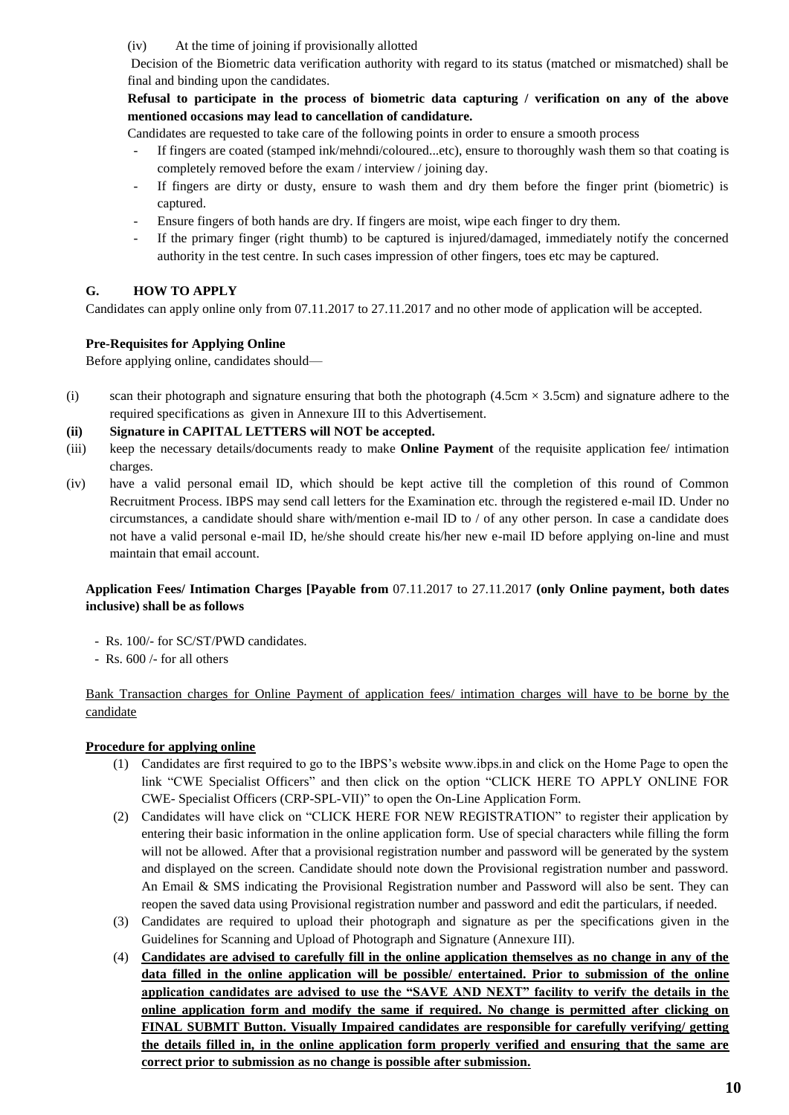(iv) At the time of joining if provisionally allotted

Decision of the Biometric data verification authority with regard to its status (matched or mismatched) shall be final and binding upon the candidates.

## **Refusal to participate in the process of biometric data capturing / verification on any of the above mentioned occasions may lead to cancellation of candidature.**

Candidates are requested to take care of the following points in order to ensure a smooth process

- If fingers are coated (stamped ink/mehndi/coloured...etc), ensure to thoroughly wash them so that coating is completely removed before the exam / interview / joining day.
- If fingers are dirty or dusty, ensure to wash them and dry them before the finger print (biometric) is captured.
- Ensure fingers of both hands are dry. If fingers are moist, wipe each finger to dry them.
- If the primary finger (right thumb) to be captured is injured/damaged, immediately notify the concerned authority in the test centre. In such cases impression of other fingers, toes etc may be captured.

# **G. HOW TO APPLY**

Candidates can apply online only from 07.11.2017 to 27.11.2017 and no other mode of application will be accepted.

## **Pre-Requisites for Applying Online**

Before applying online, candidates should—

(i) scan their photograph and signature ensuring that both the photograph  $(4.5 \text{cm} \times 3.5 \text{cm})$  and signature adhere to the required specifications as given in Annexure III to this Advertisement.

## **(ii) Signature in CAPITAL LETTERS will NOT be accepted.**

- (iii) keep the necessary details/documents ready to make **Online Payment** of the requisite application fee/ intimation charges.
- (iv) have a valid personal email ID, which should be kept active till the completion of this round of Common Recruitment Process. IBPS may send call letters for the Examination etc. through the registered e-mail ID. Under no circumstances, a candidate should share with/mention e-mail ID to / of any other person. In case a candidate does not have a valid personal e-mail ID, he/she should create his/her new e-mail ID before applying on-line and must maintain that email account.

## **Application Fees/ Intimation Charges [Payable from** 07.11.2017 to 27.11.2017 **(only Online payment, both dates inclusive) shall be as follows**

- Rs. 100/- for SC/ST/PWD candidates.
- Rs. 600 /- for all others

# Bank Transaction charges for Online Payment of application fees/ intimation charges will have to be borne by the candidate

## **Procedure for applying online**

- (1) Candidates are first required to go to the IBPS's website www.ibps.in and click on the Home Page to open the link "CWE Specialist Officers" and then click on the option "CLICK HERE TO APPLY ONLINE FOR CWE- Specialist Officers (CRP-SPL-VII)" to open the On-Line Application Form.
- (2) Candidates will have click on "CLICK HERE FOR NEW REGISTRATION" to register their application by entering their basic information in the online application form. Use of special characters while filling the form will not be allowed. After that a provisional registration number and password will be generated by the system and displayed on the screen. Candidate should note down the Provisional registration number and password. An Email & SMS indicating the Provisional Registration number and Password will also be sent. They can reopen the saved data using Provisional registration number and password and edit the particulars, if needed.
- (3) Candidates are required to upload their photograph and signature as per the specifications given in the Guidelines for Scanning and Upload of Photograph and Signature (Annexure III).
- (4) **Candidates are advised to carefully fill in the online application themselves as no change in any of the data filled in the online application will be possible/ entertained. Prior to submission of the online application candidates are advised to use the "SAVE AND NEXT" facility to verify the details in the online application form and modify the same if required. No change is permitted after clicking on FINAL SUBMIT Button. Visually Impaired candidates are responsible for carefully verifying/ getting the details filled in, in the online application form properly verified and ensuring that the same are correct prior to submission as no change is possible after submission.**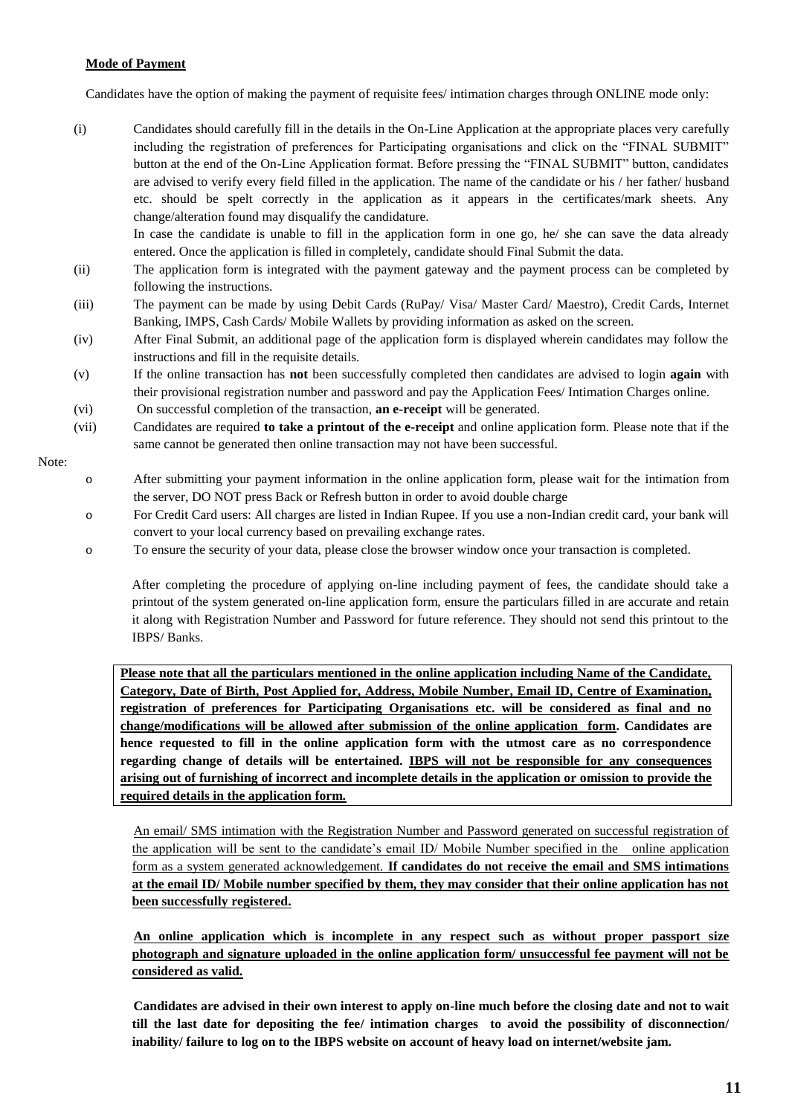#### **Mode of Payment**

Candidates have the option of making the payment of requisite fees/ intimation charges through ONLINE mode only:

(i) Candidates should carefully fill in the details in the On-Line Application at the appropriate places very carefully including the registration of preferences for Participating organisations and click on the "FINAL SUBMIT" button at the end of the On-Line Application format. Before pressing the "FINAL SUBMIT" button, candidates are advised to verify every field filled in the application. The name of the candidate or his / her father/ husband etc. should be spelt correctly in the application as it appears in the certificates/mark sheets. Any change/alteration found may disqualify the candidature.

In case the candidate is unable to fill in the application form in one go, he/ she can save the data already entered. Once the application is filled in completely, candidate should Final Submit the data.

- (ii) The application form is integrated with the payment gateway and the payment process can be completed by following the instructions.
- (iii) The payment can be made by using Debit Cards (RuPay/ Visa/ Master Card/ Maestro), Credit Cards, Internet Banking, IMPS, Cash Cards/ Mobile Wallets by providing information as asked on the screen.
- (iv) After Final Submit, an additional page of the application form is displayed wherein candidates may follow the instructions and fill in the requisite details.
- (v) If the online transaction has **not** been successfully completed then candidates are advised to login **again** with their provisional registration number and password and pay the Application Fees/ Intimation Charges online.
- (vi) On successful completion of the transaction, **an e-receipt** will be generated.
- (vii) Candidates are required **to take a printout of the e-receipt** and online application form. Please note that if the same cannot be generated then online transaction may not have been successful.

#### Note:

- o After submitting your payment information in the online application form, please wait for the intimation from the server, DO NOT press Back or Refresh button in order to avoid double charge
- o For Credit Card users: All charges are listed in Indian Rupee. If you use a non-Indian credit card, your bank will convert to your local currency based on prevailing exchange rates.
- o To ensure the security of your data, please close the browser window once your transaction is completed.

After completing the procedure of applying on-line including payment of fees, the candidate should take a printout of the system generated on-line application form, ensure the particulars filled in are accurate and retain it along with Registration Number and Password for future reference. They should not send this printout to the IBPS/ Banks.

**Please note that all the particulars mentioned in the online application including Name of the Candidate, Category, Date of Birth, Post Applied for, Address, Mobile Number, Email ID, Centre of Examination, registration of preferences for Participating Organisations etc. will be considered as final and no change/modifications will be allowed after submission of the online application form. Candidates are hence requested to fill in the online application form with the utmost care as no correspondence regarding change of details will be entertained. IBPS will not be responsible for any consequences arising out of furnishing of incorrect and incomplete details in the application or omission to provide the required details in the application form.**

An email/ SMS intimation with the Registration Number and Password generated on successful registration of the application will be sent to the candidate's email ID/ Mobile Number specified in the online application form as a system generated acknowledgement. **If candidates do not receive the email and SMS intimations at the email ID/ Mobile number specified by them, they may consider that their online application has not been successfully registered.**

**An online application which is incomplete in any respect such as without proper passport size photograph and signature uploaded in the online application form/ unsuccessful fee payment will not be considered as valid.**

**Candidates are advised in their own interest to apply on-line much before the closing date and not to wait till the last date for depositing the fee/ intimation charges to avoid the possibility of disconnection/ inability/ failure to log on to the IBPS website on account of heavy load on internet/website jam.**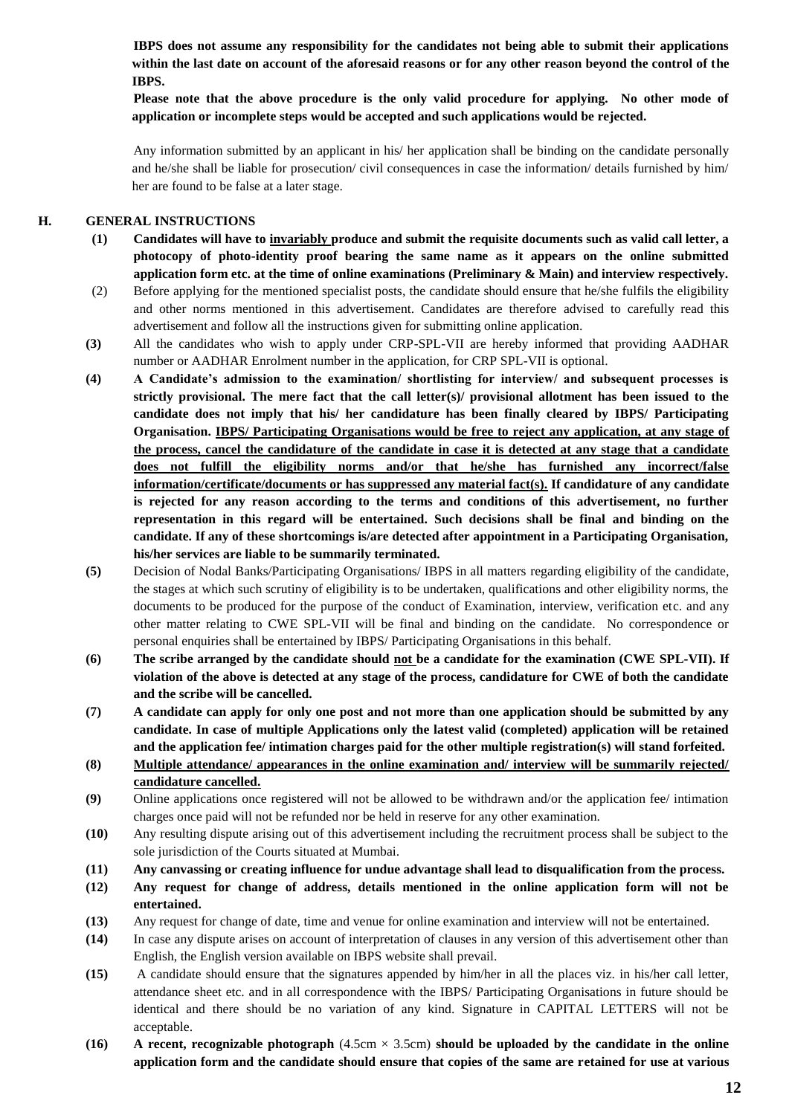**IBPS does not assume any responsibility for the candidates not being able to submit their applications within the last date on account of the aforesaid reasons or for any other reason beyond the control of the IBPS.** 

**Please note that the above procedure is the only valid procedure for applying. No other mode of application or incomplete steps would be accepted and such applications would be rejected.**

Any information submitted by an applicant in his/ her application shall be binding on the candidate personally and he/she shall be liable for prosecution/ civil consequences in case the information/ details furnished by him/ her are found to be false at a later stage.

#### **H. GENERAL INSTRUCTIONS**

- **(1) Candidates will have to invariably produce and submit the requisite documents such as valid call letter, a photocopy of photo-identity proof bearing the same name as it appears on the online submitted application form etc. at the time of online examinations (Preliminary & Main) and interview respectively.**
- (2) Before applying for the mentioned specialist posts, the candidate should ensure that he/she fulfils the eligibility and other norms mentioned in this advertisement. Candidates are therefore advised to carefully read this advertisement and follow all the instructions given for submitting online application.
- **(3)** All the candidates who wish to apply under CRP-SPL-VII are hereby informed that providing AADHAR number or AADHAR Enrolment number in the application, for CRP SPL-VII is optional.
- **(4) A Candidate's admission to the examination/ shortlisting for interview/ and subsequent processes is strictly provisional. The mere fact that the call letter(s)/ provisional allotment has been issued to the candidate does not imply that his/ her candidature has been finally cleared by IBPS/ Participating Organisation. IBPS/ Participating Organisations would be free to reject any application, at any stage of the process, cancel the candidature of the candidate in case it is detected at any stage that a candidate does not fulfill the eligibility norms and/or that he/she has furnished any incorrect/false information/certificate/documents or has suppressed any material fact(s). If candidature of any candidate is rejected for any reason according to the terms and conditions of this advertisement, no further representation in this regard will be entertained. Such decisions shall be final and binding on the candidate. If any of these shortcomings is/are detected after appointment in a Participating Organisation, his/her services are liable to be summarily terminated.**
- **(5)** Decision of Nodal Banks/Participating Organisations/ IBPS in all matters regarding eligibility of the candidate, the stages at which such scrutiny of eligibility is to be undertaken, qualifications and other eligibility norms, the documents to be produced for the purpose of the conduct of Examination, interview, verification etc. and any other matter relating to CWE SPL-VII will be final and binding on the candidate. No correspondence or personal enquiries shall be entertained by IBPS/ Participating Organisations in this behalf.
- **(6) The scribe arranged by the candidate should not be a candidate for the examination (CWE SPL-VII). If violation of the above is detected at any stage of the process, candidature for CWE of both the candidate and the scribe will be cancelled.**
- **(7) A candidate can apply for only one post and not more than one application should be submitted by any candidate. In case of multiple Applications only the latest valid (completed) application will be retained and the application fee/ intimation charges paid for the other multiple registration(s) will stand forfeited.**
- **(8) Multiple attendance/ appearances in the online examination and/ interview will be summarily rejected/ candidature cancelled.**
- **(9)** Online applications once registered will not be allowed to be withdrawn and/or the application fee/ intimation charges once paid will not be refunded nor be held in reserve for any other examination.
- **(10)** Any resulting dispute arising out of this advertisement including the recruitment process shall be subject to the sole jurisdiction of the Courts situated at Mumbai.
- **(11) Any canvassing or creating influence for undue advantage shall lead to disqualification from the process.**
- **(12) Any request for change of address, details mentioned in the online application form will not be entertained.**
- **(13)** Any request for change of date, time and venue for online examination and interview will not be entertained.
- **(14)** In case any dispute arises on account of interpretation of clauses in any version of this advertisement other than English, the English version available on IBPS website shall prevail.
- **(15)** A candidate should ensure that the signatures appended by him/her in all the places viz. in his/her call letter, attendance sheet etc. and in all correspondence with the IBPS/ Participating Organisations in future should be identical and there should be no variation of any kind. Signature in CAPITAL LETTERS will not be acceptable.
- **(16) A recent, recognizable photograph** (4.5cm × 3.5cm) **should be uploaded by the candidate in the online application form and the candidate should ensure that copies of the same are retained for use at various**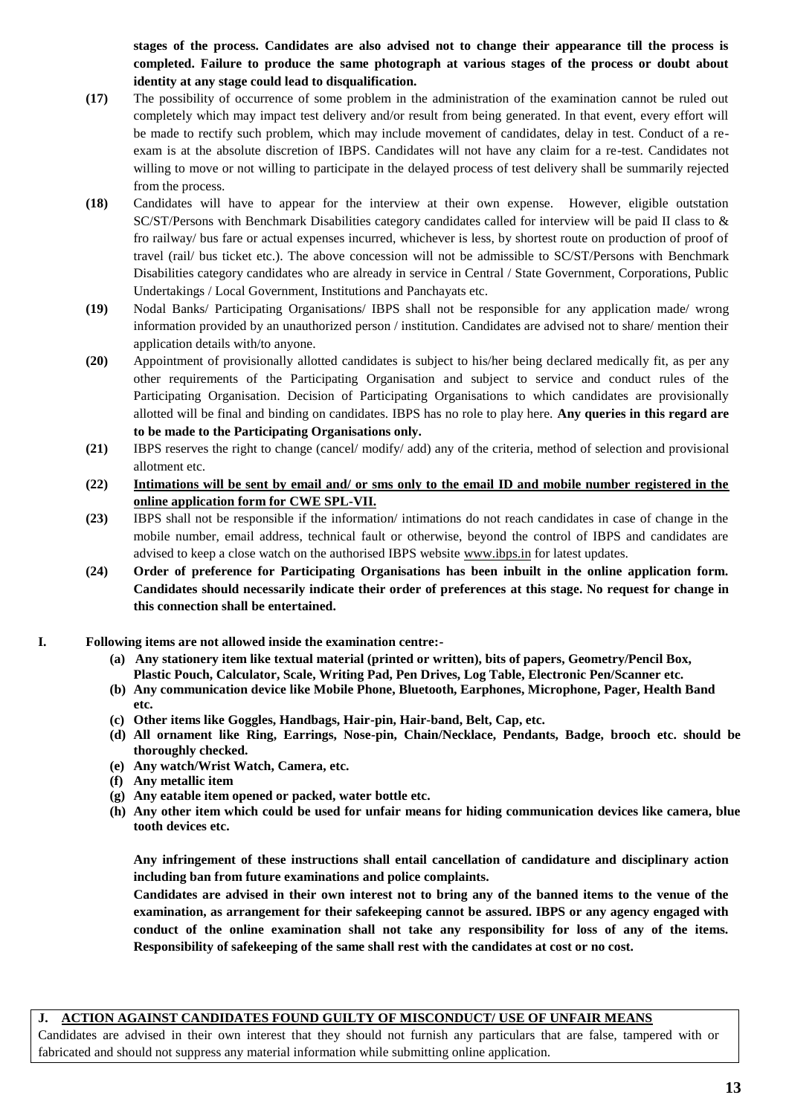**stages of the process. Candidates are also advised not to change their appearance till the process is completed. Failure to produce the same photograph at various stages of the process or doubt about identity at any stage could lead to disqualification.**

- **(17)** The possibility of occurrence of some problem in the administration of the examination cannot be ruled out completely which may impact test delivery and/or result from being generated. In that event, every effort will be made to rectify such problem, which may include movement of candidates, delay in test. Conduct of a reexam is at the absolute discretion of IBPS. Candidates will not have any claim for a re-test. Candidates not willing to move or not willing to participate in the delayed process of test delivery shall be summarily rejected from the process.
- **(18)** Candidates will have to appear for the interview at their own expense. However, eligible outstation SC/ST/Persons with Benchmark Disabilities category candidates called for interview will be paid II class to & fro railway/ bus fare or actual expenses incurred, whichever is less, by shortest route on production of proof of travel (rail/ bus ticket etc.). The above concession will not be admissible to SC/ST/Persons with Benchmark Disabilities category candidates who are already in service in Central / State Government, Corporations, Public Undertakings / Local Government, Institutions and Panchayats etc.
- **(19)** Nodal Banks/ Participating Organisations/ IBPS shall not be responsible for any application made/ wrong information provided by an unauthorized person / institution. Candidates are advised not to share/ mention their application details with/to anyone.
- **(20)** Appointment of provisionally allotted candidates is subject to his/her being declared medically fit, as per any other requirements of the Participating Organisation and subject to service and conduct rules of the Participating Organisation. Decision of Participating Organisations to which candidates are provisionally allotted will be final and binding on candidates. IBPS has no role to play here. **Any queries in this regard are to be made to the Participating Organisations only.**
- **(21)** IBPS reserves the right to change (cancel/ modify/ add) any of the criteria, method of selection and provisional allotment etc.
- **(22) Intimations will be sent by email and/ or sms only to the email ID and mobile number registered in the online application form for CWE SPL-VII.**
- **(23)** IBPS shall not be responsible if the information/ intimations do not reach candidates in case of change in the mobile number, email address, technical fault or otherwise, beyond the control of IBPS and candidates are advised to keep a close watch on the authorised IBPS website [www.ibps.in](http://www.ibps.in/) for latest updates.
- **(24) Order of preference for Participating Organisations has been inbuilt in the online application form. Candidates should necessarily indicate their order of preferences at this stage. No request for change in this connection shall be entertained.**
- **I. Following items are not allowed inside the examination centre:-**
	- **(a) Any stationery item like textual material (printed or written), bits of papers, Geometry/Pencil Box, Plastic Pouch, Calculator, Scale, Writing Pad, Pen Drives, Log Table, Electronic Pen/Scanner etc.**
	- **(b) Any communication device like Mobile Phone, Bluetooth, Earphones, Microphone, Pager, Health Band etc.**
	- **(c) Other items like Goggles, Handbags, Hair-pin, Hair-band, Belt, Cap, etc.**
	- **(d) All ornament like Ring, Earrings, Nose-pin, Chain/Necklace, Pendants, Badge, brooch etc. should be thoroughly checked.**
	- **(e) Any watch/Wrist Watch, Camera, etc.**
	- **(f) Any metallic item**
	- **(g) Any eatable item opened or packed, water bottle etc.**
	- **(h) Any other item which could be used for unfair means for hiding communication devices like camera, blue tooth devices etc.**

**Any infringement of these instructions shall entail cancellation of candidature and disciplinary action including ban from future examinations and police complaints.** 

**Candidates are advised in their own interest not to bring any of the banned items to the venue of the examination, as arrangement for their safekeeping cannot be assured. IBPS or any agency engaged with conduct of the online examination shall not take any responsibility for loss of any of the items. Responsibility of safekeeping of the same shall rest with the candidates at cost or no cost.**

## **J. ACTION AGAINST CANDIDATES FOUND GUILTY OF MISCONDUCT/ USE OF UNFAIR MEANS**

Candidates are advised in their own interest that they should not furnish any particulars that are false, tampered with or fabricated and should not suppress any material information while submitting online application.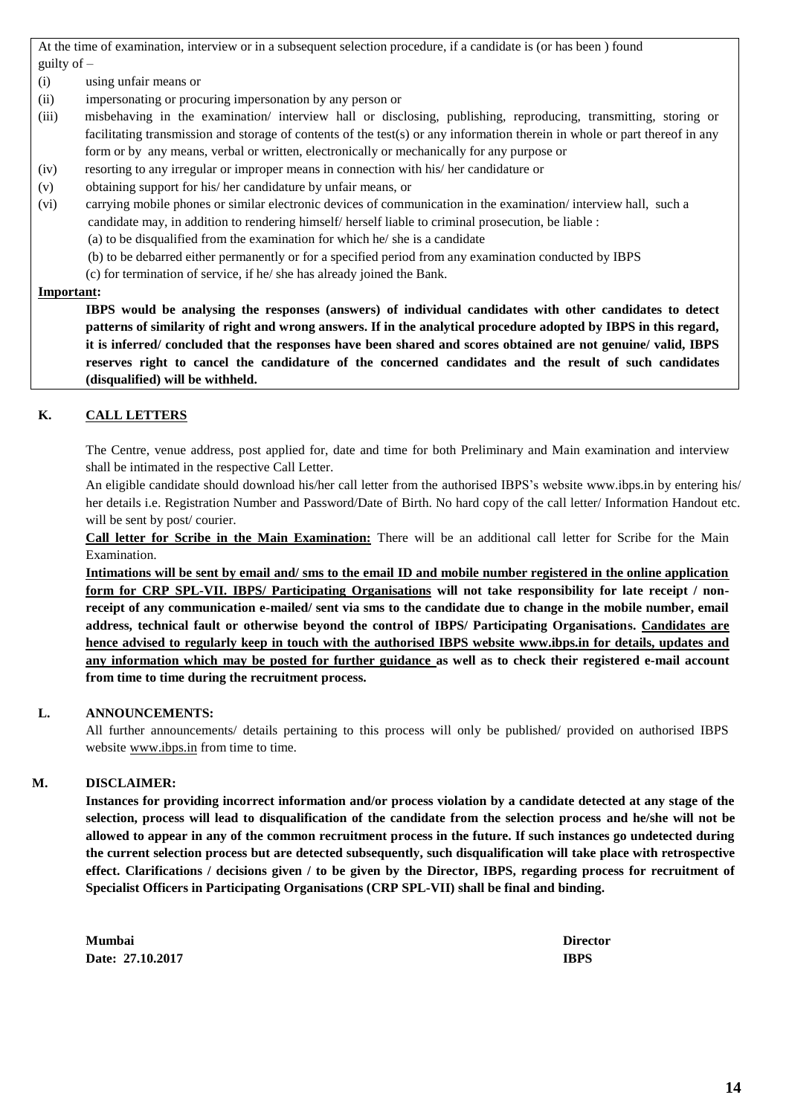At the time of examination, interview or in a subsequent selection procedure, if a candidate is (or has been ) found guilty of –

- (i) using unfair means or
- (ii) impersonating or procuring impersonation by any person or
- (iii) misbehaving in the examination/ interview hall or disclosing, publishing, reproducing, transmitting, storing or facilitating transmission and storage of contents of the test(s) or any information therein in whole or part thereof in any form or by any means, verbal or written, electronically or mechanically for any purpose or
- (iv) resorting to any irregular or improper means in connection with his/ her candidature or
- (v) obtaining support for his/ her candidature by unfair means, or
- (vi) carrying mobile phones or similar electronic devices of communication in the examination/ interview hall, such a
	- candidate may, in addition to rendering himself/ herself liable to criminal prosecution, be liable :

(a) to be disqualified from the examination for which he/ she is a candidate

- (b) to be debarred either permanently or for a specified period from any examination conducted by IBPS
- (c) for termination of service, if he/ she has already joined the Bank.

#### **Important:**

**IBPS would be analysing the responses (answers) of individual candidates with other candidates to detect patterns of similarity of right and wrong answers. If in the analytical procedure adopted by IBPS in this regard, it is inferred/ concluded that the responses have been shared and scores obtained are not genuine/ valid, IBPS reserves right to cancel the candidature of the concerned candidates and the result of such candidates (disqualified) will be withheld.**

## **K. CALL LETTERS**

The Centre, venue address, post applied for, date and time for both Preliminary and Main examination and interview shall be intimated in the respective Call Letter.

An eligible candidate should download his/her call letter from the authorised IBPS's website www.ibps.in by entering his/ her details i.e. Registration Number and Password/Date of Birth. No hard copy of the call letter/ Information Handout etc. will be sent by post/courier.

**Call letter for Scribe in the Main Examination:** There will be an additional call letter for Scribe for the Main Examination.

**Intimations will be sent by email and/ sms to the email ID and mobile number registered in the online application form for CRP SPL-VII. IBPS/ Participating Organisations will not take responsibility for late receipt / nonreceipt of any communication e-mailed/ sent via sms to the candidate due to change in the mobile number, email address, technical fault or otherwise beyond the control of IBPS/ Participating Organisations. Candidates are hence advised to regularly keep in touch with the authorised IBPS website [www.ibps.in](http://www.ibps.in/) for details, updates and any information which may be posted for further guidance as well as to check their registered e-mail account from time to time during the recruitment process.**

## **L. ANNOUNCEMENTS:**

All further announcements/ details pertaining to this process will only be published/ provided on authorised IBPS website [www.ibps.in](http://www.ibps.in/) from time to time.

## **M. DISCLAIMER:**

**Instances for providing incorrect information and/or process violation by a candidate detected at any stage of the selection, process will lead to disqualification of the candidate from the selection process and he/she will not be allowed to appear in any of the common recruitment process in the future. If such instances go undetected during the current selection process but are detected subsequently, such disqualification will take place with retrospective effect. Clarifications / decisions given / to be given by the Director, IBPS, regarding process for recruitment of Specialist Officers in Participating Organisations (CRP SPL-VII) shall be final and binding.**

**Mumbai Director Date: 27.10.2017 IBPS**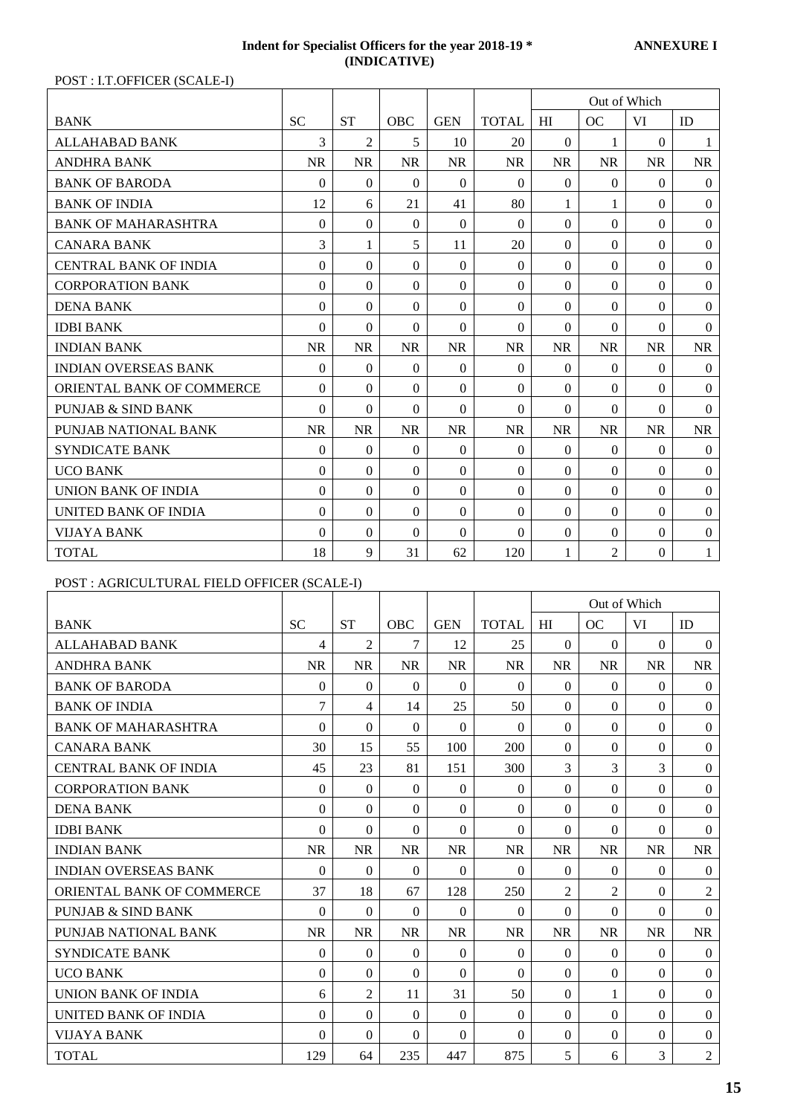#### **Indent for Specialist Officers for the year 2018-19 \* ANNEXURE I (INDICATIVE)**

POST : I.T.OFFICER (SCALE-I)

|                                  |              |                |                  |                |              |           | Out of Which   |           |                  |
|----------------------------------|--------------|----------------|------------------|----------------|--------------|-----------|----------------|-----------|------------------|
| <b>BANK</b>                      | <b>SC</b>    | <b>ST</b>      | <b>OBC</b>       | <b>GEN</b>     | <b>TOTAL</b> | HI        | OC             | VI        | ID               |
| <b>ALLAHABAD BANK</b>            | 3            | $\mathfrak{D}$ | 5                | 10             | 20           | $\theta$  |                | $\Omega$  | 1                |
| <b>ANDHRA BANK</b>               | <b>NR</b>    | <b>NR</b>      | <b>NR</b>        | <b>NR</b>      | <b>NR</b>    | <b>NR</b> | <b>NR</b>      | <b>NR</b> | <b>NR</b>        |
| <b>BANK OF BARODA</b>            | $\mathbf{0}$ | $\Omega$       | $\Omega$         | $\Omega$       | $\Omega$     | $\Omega$  | $\Omega$       | $\Omega$  | $\overline{0}$   |
| <b>BANK OF INDIA</b>             | 12           | 6              | 21               | 41             | 80           | 1         |                | $\Omega$  | $\theta$         |
| <b>BANK OF MAHARASHTRA</b>       | $\Omega$     | $\Omega$       | $\Omega$         | $\Omega$       | $\Omega$     | $\Omega$  | $\Omega$       | $\Omega$  | $\boldsymbol{0}$ |
| <b>CANARA BANK</b>               | 3            | 1              | 5                | 11             | 20           | $\Omega$  | $\Omega$       | $\Omega$  | $\theta$         |
| <b>CENTRAL BANK OF INDIA</b>     | $\theta$     | $\Omega$       | $\Omega$         | $\Omega$       | $\Omega$     | $\Omega$  | $\Omega$       | $\Omega$  | $\boldsymbol{0}$ |
| <b>CORPORATION BANK</b>          | $\theta$     | $\Omega$       | $\Omega$         | $\Omega$       | $\Omega$     | $\Omega$  | $\Omega$       | $\Omega$  | $\overline{0}$   |
| <b>DENA BANK</b>                 | $\mathbf{0}$ | $\Omega$       | $\Omega$         | $\overline{0}$ | $\Omega$     | $\Omega$  | $\Omega$       | $\Omega$  | $\overline{0}$   |
| <b>IDBI BANK</b>                 | $\theta$     | $\Omega$       | $\Omega$         | $\Omega$       | $\Omega$     | $\Omega$  | $\Omega$       | $\Omega$  | $\theta$         |
| <b>INDIAN BANK</b>               | <b>NR</b>    | <b>NR</b>      | <b>NR</b>        | <b>NR</b>      | <b>NR</b>    | <b>NR</b> | <b>NR</b>      | <b>NR</b> | <b>NR</b>        |
| <b>INDIAN OVERSEAS BANK</b>      | $\Omega$     | $\Omega$       | $\Omega$         | $\Omega$       | $\Omega$     | $\Omega$  | $\Omega$       | $\Omega$  | $\boldsymbol{0}$ |
| <b>ORIENTAL BANK OF COMMERCE</b> | $\theta$     | $\Omega$       | $\Omega$         | $\Omega$       | $\Omega$     | $\Omega$  | $\Omega$       | $\Omega$  | $\theta$         |
| PUNJAB & SIND BANK               | $\Omega$     | $\Omega$       | $\Omega$         | $\Omega$       | 0            | $\Omega$  | $\Omega$       | $\Omega$  | $\theta$         |
| PUNJAB NATIONAL BANK             | <b>NR</b>    | <b>NR</b>      | <b>NR</b>        | <b>NR</b>      | <b>NR</b>    | <b>NR</b> | <b>NR</b>      | <b>NR</b> | <b>NR</b>        |
| <b>SYNDICATE BANK</b>            | $\theta$     | $\Omega$       | $\Omega$         | $\overline{0}$ | $\Omega$     | $\Omega$  | $\Omega$       | $\Omega$  | $\overline{0}$   |
| <b>UCO BANK</b>                  | $\theta$     | $\Omega$       | $\Omega$         | $\Omega$       | $\Omega$     | $\Omega$  | $\Omega$       | $\Omega$  | $\theta$         |
| <b>UNION BANK OF INDIA</b>       | $\Omega$     | $\Omega$       | $\Omega$         | $\Omega$       | $\Omega$     | $\Omega$  | $\Omega$       | $\Omega$  | $\boldsymbol{0}$ |
| UNITED BANK OF INDIA             | $\mathbf{0}$ | $\Omega$       | $\boldsymbol{0}$ | $\overline{0}$ | $\Omega$     | $\Omega$  | $\Omega$       | $\Omega$  | $\boldsymbol{0}$ |
| <b>VIJAYA BANK</b>               | $\Omega$     | $\Omega$       | $\Omega$         | $\Omega$       | $\Omega$     | $\Omega$  | $\Omega$       | $\Omega$  | $\theta$         |
| <b>TOTAL</b>                     | 18           | 9              | 31               | 62             | 120          | 1         | $\overline{2}$ | $\Omega$  | 1                |

# POST : AGRICULTURAL FIELD OFFICER (SCALE-I)

|                              |              |                |              |                |              |                | Out of Which   |                |                  |
|------------------------------|--------------|----------------|--------------|----------------|--------------|----------------|----------------|----------------|------------------|
| <b>BANK</b>                  | <b>SC</b>    | <b>ST</b>      | <b>OBC</b>   | <b>GEN</b>     | <b>TOTAL</b> | HI             | <b>OC</b>      | VI             | ID               |
| ALLAHABAD BANK               | 4            | 2              | 7            | 12             | 25           | $\Omega$       | $\Omega$       | $\theta$       | $\overline{0}$   |
| <b>ANDHRA BANK</b>           | <b>NR</b>    | <b>NR</b>      | <b>NR</b>    | <b>NR</b>      | <b>NR</b>    | <b>NR</b>      | <b>NR</b>      | <b>NR</b>      | <b>NR</b>        |
| <b>BANK OF BARODA</b>        | $\theta$     | $\Omega$       | $\Omega$     | $\Omega$       | $\Omega$     | $\Omega$       | $\Omega$       | $\Omega$       | $\overline{0}$   |
| <b>BANK OF INDIA</b>         | 7            | $\overline{4}$ | 14           | 25             | 50           | $\overline{0}$ | $\Omega$       | $\Omega$       | $\boldsymbol{0}$ |
| <b>BANK OF MAHARASHTRA</b>   | $\theta$     | $\Omega$       | $\Omega$     | $\Omega$       | $\Omega$     | $\Omega$       | $\Omega$       | $\Omega$       | $\overline{0}$   |
| <b>CANARA BANK</b>           | 30           | 15             | 55           | 100            | 200          | $\Omega$       | $\Omega$       | $\Omega$       | $\theta$         |
| <b>CENTRAL BANK OF INDIA</b> | 45           | 23             | 81           | 151            | 300          | 3              | $\overline{3}$ | 3              | $\boldsymbol{0}$ |
| <b>CORPORATION BANK</b>      | $\mathbf{0}$ | $\Omega$       | $\Omega$     | $\overline{0}$ | $\Omega$     | $\Omega$       | $\Omega$       | $\Omega$       | $\boldsymbol{0}$ |
| <b>DENA BANK</b>             | $\Omega$     | $\Omega$       | $\Omega$     | $\Omega$       | $\Omega$     | $\Omega$       | $\Omega$       | $\Omega$       | $\boldsymbol{0}$ |
| <b>IDBI BANK</b>             | $\theta$     | $\Omega$       | $\Omega$     | $\Omega$       | $\Omega$     | $\Omega$       | $\Omega$       | $\Omega$       | $\theta$         |
| <b>INDIAN BANK</b>           | <b>NR</b>    | <b>NR</b>      | <b>NR</b>    | <b>NR</b>      | <b>NR</b>    | <b>NR</b>      | <b>NR</b>      | <b>NR</b>      | <b>NR</b>        |
| <b>INDIAN OVERSEAS BANK</b>  | $\theta$     | $\Omega$       | $\Omega$     | $\Omega$       | $\theta$     | $\Omega$       | $\Omega$       | $\Omega$       | $\boldsymbol{0}$ |
| ORIENTAL BANK OF COMMERCE    | 37           | 18             | 67           | 128            | 250          | $\overline{2}$ | $\overline{c}$ | $\Omega$       | $\overline{2}$   |
| PUNJAB & SIND BANK           | $\theta$     | $\Omega$       | $\Omega$     | $\Omega$       | $\Omega$     | $\Omega$       | $\Omega$       | $\Omega$       | $\theta$         |
| PUNJAB NATIONAL BANK         | <b>NR</b>    | <b>NR</b>      | <b>NR</b>    | <b>NR</b>      | <b>NR</b>    | <b>NR</b>      | <b>NR</b>      | <b>NR</b>      | <b>NR</b>        |
| <b>SYNDICATE BANK</b>        | $\mathbf{0}$ | $\Omega$       | $\mathbf{0}$ | $\overline{0}$ | $\mathbf{0}$ | $\Omega$       | $\Omega$       | $\overline{0}$ | $\overline{0}$   |
| <b>UCO BANK</b>              | $\theta$     | $\Omega$       | $\Omega$     | $\Omega$       | $\Omega$     | $\Omega$       | $\Omega$       | $\Omega$       | $\theta$         |
| UNION BANK OF INDIA          | 6            | $\overline{2}$ | 11           | 31             | 50           | $\Omega$       |                | $\Omega$       | $\overline{0}$   |
| UNITED BANK OF INDIA         | $\Omega$     | $\Omega$       | $\Omega$     | $\Omega$       | $\Omega$     | $\Omega$       | $\Omega$       | $\Omega$       | $\theta$         |
| <b>VIJAYA BANK</b>           | $\Omega$     | $\Omega$       | $\Omega$     | $\Omega$       | $\Omega$     | $\Omega$       | $\Omega$       | $\Omega$       | $\boldsymbol{0}$ |
| <b>TOTAL</b>                 | 129          | 64             | 235          | 447            | 875          | 5              | 6              | 3              | $\overline{2}$   |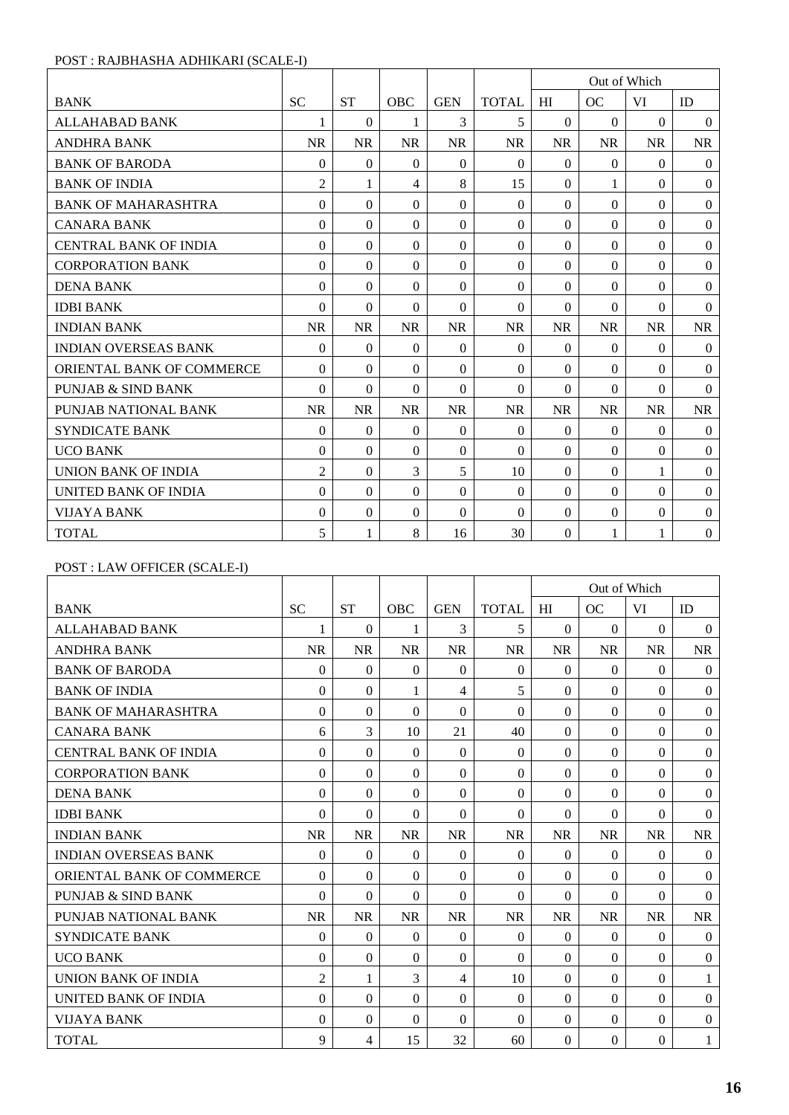## POST : RAJBHASHA ADHIKARI (SCALE-I)

|                                  |                |              |                  |                |              |                  | Out of Which |              |                  |
|----------------------------------|----------------|--------------|------------------|----------------|--------------|------------------|--------------|--------------|------------------|
| <b>BANK</b>                      | <b>SC</b>      | <b>ST</b>    | <b>OBC</b>       | <b>GEN</b>     | <b>TOTAL</b> | HI               | OC           | VI           | ID               |
| <b>ALLAHABAD BANK</b>            | 1              | $\theta$     | 1                | 3              | 5            | $\Omega$         | $\Omega$     | $\Omega$     | $\theta$         |
| <b>ANDHRA BANK</b>               | <b>NR</b>      | <b>NR</b>    | <b>NR</b>        | <b>NR</b>      | <b>NR</b>    | <b>NR</b>        | <b>NR</b>    | <b>NR</b>    | <b>NR</b>        |
| <b>BANK OF BARODA</b>            | $\Omega$       | $\Omega$     | $\boldsymbol{0}$ | $\Omega$       | $\Omega$     | $\Omega$         | $\Omega$     | $\Omega$     | $\overline{0}$   |
| <b>BANK OF INDIA</b>             | $\overline{2}$ | 1            | $\overline{4}$   | 8              | 15           | $\Omega$         | 1            | $\Omega$     | $\boldsymbol{0}$ |
| <b>BANK OF MAHARASHTRA</b>       | $\Omega$       | $\Omega$     | $\Omega$         | $\Omega$       | $\Omega$     | $\Omega$         | $\Omega$     | $\Omega$     | $\boldsymbol{0}$ |
| <b>CANARA BANK</b>               | $\Omega$       | $\Omega$     | $\Omega$         | $\Omega$       | $\Omega$     | $\Omega$         | $\Omega$     | $\Omega$     | $\boldsymbol{0}$ |
| <b>CENTRAL BANK OF INDIA</b>     | $\mathbf{0}$   | $\Omega$     | $\boldsymbol{0}$ | $\overline{0}$ | $\Omega$     | $\boldsymbol{0}$ | $\Omega$     | $\Omega$     | $\boldsymbol{0}$ |
| <b>CORPORATION BANK</b>          | $\mathbf{0}$   | $\Omega$     | $\Omega$         | $\overline{0}$ | $\Omega$     | $\Omega$         | $\Omega$     | $\Omega$     | $\theta$         |
| <b>DENA BANK</b>                 | $\theta$       | $\Omega$     | $\Omega$         | $\Omega$       | 0            | $\Omega$         | $\Omega$     | $\Omega$     | $\boldsymbol{0}$ |
| <b>IDBI BANK</b>                 | $\Omega$       | $\Omega$     | $\Omega$         | $\Omega$       | $\Omega$     | $\Omega$         | $\Omega$     | $\Omega$     | $\theta$         |
| <b>INDIAN BANK</b>               | <b>NR</b>      | <b>NR</b>    | <b>NR</b>        | <b>NR</b>      | <b>NR</b>    | <b>NR</b>        | <b>NR</b>    | <b>NR</b>    | <b>NR</b>        |
| <b>INDIAN OVERSEAS BANK</b>      | $\Omega$       | $\mathbf{0}$ | $\overline{0}$   | $\Omega$       | $\Omega$     | $\Omega$         | $\mathbf{0}$ | $\Omega$     | $\theta$         |
| <b>ORIENTAL BANK OF COMMERCE</b> | $\theta$       | $\Omega$     | $\Omega$         | $\Omega$       | $\theta$     | $\Omega$         | $\Omega$     | $\Omega$     | $\theta$         |
| <b>PUNJAB &amp; SIND BANK</b>    | $\theta$       | $\theta$     | $\Omega$         | $\Omega$       | $\theta$     | $\Omega$         | $\Omega$     | $\Omega$     | $\theta$         |
| PUNJAB NATIONAL BANK             | <b>NR</b>      | <b>NR</b>    | <b>NR</b>        | <b>NR</b>      | <b>NR</b>    | <b>NR</b>        | <b>NR</b>    | <b>NR</b>    | <b>NR</b>        |
| <b>SYNDICATE BANK</b>            | $\Omega$       | $\Omega$     | $\boldsymbol{0}$ | $\Omega$       | $\Omega$     | $\Omega$         | $\Omega$     | $\Omega$     | $\overline{0}$   |
| <b>UCO BANK</b>                  | $\theta$       | $\Omega$     | $\Omega$         | $\Omega$       | $\theta$     | $\Omega$         | $\Omega$     | $\Omega$     | $\theta$         |
| <b>UNION BANK OF INDIA</b>       | $\overline{2}$ | $\Omega$     | 3                | 5              | 10           | $\Omega$         | $\Omega$     | $\mathbf{1}$ | $\boldsymbol{0}$ |
| UNITED BANK OF INDIA             | $\Omega$       | $\Omega$     | $\Omega$         | $\Omega$       | $\Omega$     | $\Omega$         | $\Omega$     | $\Omega$     | $\theta$         |
| <b>VIJAYA BANK</b>               | $\Omega$       | $\Omega$     | $\Omega$         | $\Omega$       | $\Omega$     | $\Omega$         | $\Omega$     | $\Omega$     | $\boldsymbol{0}$ |
| <b>TOTAL</b>                     | 5              | 1            | 8                | 16             | 30           | $\Omega$         |              | $\mathbf{1}$ | $\boldsymbol{0}$ |

# POST : LAW OFFICER (SCALE-I)

|                                  |                  |                  |                |                |              |              | Out of Which   |                |                  |
|----------------------------------|------------------|------------------|----------------|----------------|--------------|--------------|----------------|----------------|------------------|
| <b>BANK</b>                      | <b>SC</b>        | <b>ST</b>        | <b>OBC</b>     | <b>GEN</b>     | <b>TOTAL</b> | HI           | OC             | VI             | ID               |
| <b>ALLAHABAD BANK</b>            | 1                | $\Omega$         | 1              | 3              | 5            | $\Omega$     | $\Omega$       | $\Omega$       | $\overline{0}$   |
| <b>ANDHRA BANK</b>               | <b>NR</b>        | <b>NR</b>        | <b>NR</b>      | <b>NR</b>      | <b>NR</b>    | <b>NR</b>    | <b>NR</b>      | <b>NR</b>      | <b>NR</b>        |
| <b>BANK OF BARODA</b>            | $\boldsymbol{0}$ | $\Omega$         | $\Omega$       | $\mathbf{0}$   | $\Omega$     | $\theta$     | $\Omega$       | $\overline{0}$ | $\boldsymbol{0}$ |
| <b>BANK OF INDIA</b>             | $\Omega$         | $\overline{0}$   | 1              | $\overline{4}$ | 5            | $\mathbf{0}$ | $\Omega$       | $\Omega$       | $\overline{0}$   |
| <b>BANK OF MAHARASHTRA</b>       | $\Omega$         | $\theta$         | $\Omega$       | 0              | $\Omega$     | $\Omega$     | $\Omega$       | $\Omega$       | $\mathbf{0}$     |
| <b>CANARA BANK</b>               | 6                | 3                | 10             | 21             | 40           | $\Omega$     | $\Omega$       | $\Omega$       | $\boldsymbol{0}$ |
| <b>CENTRAL BANK OF INDIA</b>     | $\Omega$         | $\overline{0}$   | $\Omega$       | $\Omega$       | $\theta$     | $\Omega$     | $\Omega$       | $\Omega$       | $\mathbf{0}$     |
| <b>CORPORATION BANK</b>          | $\boldsymbol{0}$ | $\Omega$         | $\Omega$       | $\Omega$       | $\theta$     | $\Omega$     | $\Omega$       | $\Omega$       | $\mathbf{0}$     |
| <b>DENA BANK</b>                 | $\mathbf{0}$     | $\Omega$         | $\Omega$       | 0              | $\theta$     | $\theta$     | $\Omega$       | $\Omega$       | $\boldsymbol{0}$ |
| <b>IDBI BANK</b>                 | $\Omega$         | $\Omega$         | $\Omega$       | $\Omega$       | $\theta$     | $\Omega$     | $\Omega$       | $\Omega$       | $\mathbf{0}$     |
| <b>INDIAN BANK</b>               | <b>NR</b>        | <b>NR</b>        | <b>NR</b>      | <b>NR</b>      | <b>NR</b>    | <b>NR</b>    | <b>NR</b>      | <b>NR</b>      | <b>NR</b>        |
| <b>INDIAN OVERSEAS BANK</b>      | $\Omega$         | $\Omega$         | $\Omega$       | $\overline{0}$ | $\theta$     | $\theta$     | $\Omega$       | $\Omega$       | $\boldsymbol{0}$ |
| <b>ORIENTAL BANK OF COMMERCE</b> | $\Omega$         | $\Omega$         | $\Omega$       | $\overline{0}$ | $\theta$     | $\Omega$     | $\Omega$       | $\Omega$       | $\overline{0}$   |
| <b>PUNJAB &amp; SIND BANK</b>    | $\Omega$         | $\Omega$         | $\Omega$       | 0              | $\theta$     | $\Omega$     | $\Omega$       | $\Omega$       | $\boldsymbol{0}$ |
| PUNJAB NATIONAL BANK             | <b>NR</b>        | <b>NR</b>        | <b>NR</b>      | <b>NR</b>      | <b>NR</b>    | <b>NR</b>    | <b>NR</b>      | <b>NR</b>      | <b>NR</b>        |
| <b>SYNDICATE BANK</b>            | $\Omega$         | $\Omega$         | $\Omega$       | $\mathbf{0}$   | $\theta$     | $\theta$     | $\Omega$       | $\Omega$       | $\overline{0}$   |
| <b>UCO BANK</b>                  | $\boldsymbol{0}$ | $\boldsymbol{0}$ | $\overline{0}$ | $\overline{0}$ | $\Omega$     | $\mathbf{0}$ | $\overline{0}$ | $\Omega$       | $\mathbf{0}$     |
| UNION BANK OF INDIA              | $\overline{2}$   | 1                | 3              | $\overline{4}$ | 10           | $\Omega$     | $\Omega$       | $\Omega$       | $\mathbf{1}$     |
| UNITED BANK OF INDIA             | $\Omega$         | $\Omega$         | $\Omega$       | $\Omega$       | $\Omega$     | $\Omega$     | $\Omega$       | $\Omega$       | $\mathbf{0}$     |
| <b>VIJAYA BANK</b>               | $\Omega$         | $\Omega$         | $\Omega$       | $\Omega$       | $\theta$     | $\Omega$     | $\Omega$       | $\Omega$       | $\boldsymbol{0}$ |
| <b>TOTAL</b>                     | 9                | $\overline{4}$   | 15             | 32             | 60           | $\Omega$     | $\Omega$       | $\Omega$       | 1                |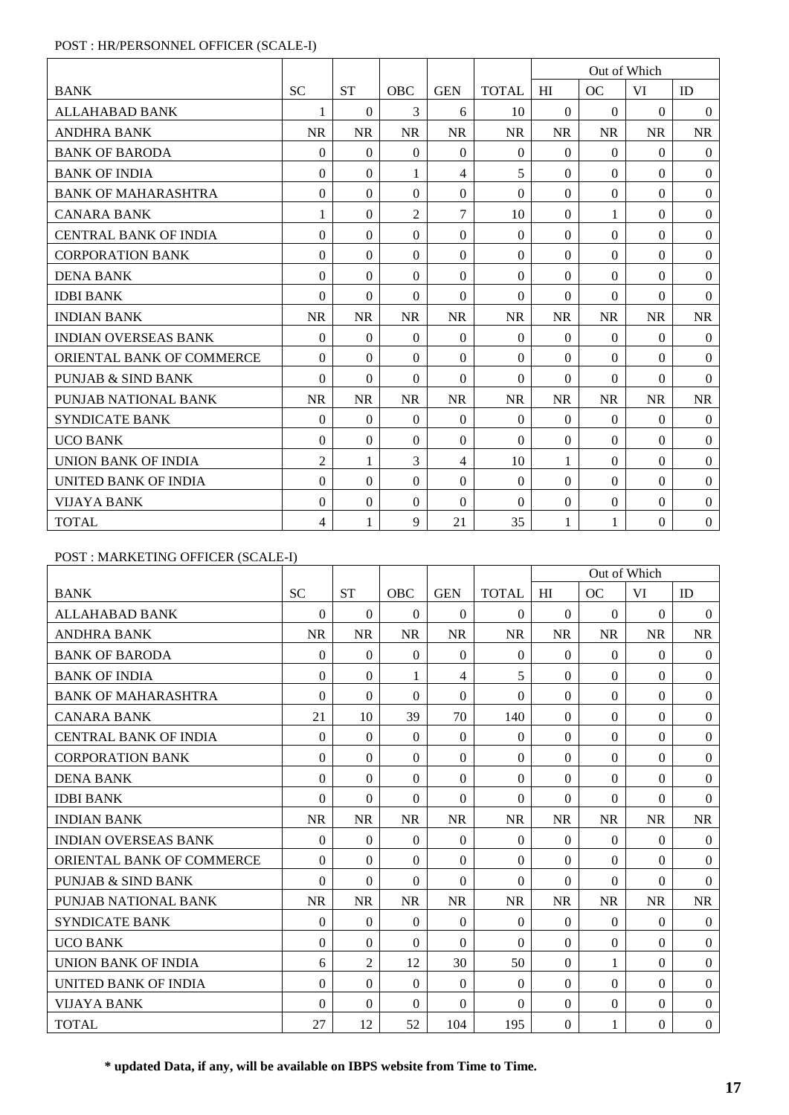## POST : HR/PERSONNEL OFFICER (SCALE-I)

|                              |                  |              |                |            |                |              | Out of Which |           |                |
|------------------------------|------------------|--------------|----------------|------------|----------------|--------------|--------------|-----------|----------------|
| <b>BANK</b>                  | <b>SC</b>        | <b>ST</b>    | <b>OBC</b>     | <b>GEN</b> | <b>TOTAL</b>   | HI           | OC           | VI        | ID             |
| <b>ALLAHABAD BANK</b>        | 1                | $\Omega$     | 3              | 6          | 10             | $\theta$     | $\Omega$     | $\Omega$  | $\Omega$       |
| <b>ANDHRA BANK</b>           | <b>NR</b>        | <b>NR</b>    | <b>NR</b>      | <b>NR</b>  | <b>NR</b>      | <b>NR</b>    | <b>NR</b>    | <b>NR</b> | <b>NR</b>      |
| <b>BANK OF BARODA</b>        | $\Omega$         | $\Omega$     | $\Omega$       | $\Omega$   | $\Omega$       | $\Omega$     | $\theta$     | $\Omega$  | $\Omega$       |
| <b>BANK OF INDIA</b>         | $\Omega$         | $\Omega$     |                | 4          | 5              | $\Omega$     | $\Omega$     | $\Omega$  | $\overline{0}$ |
| <b>BANK OF MAHARASHTRA</b>   | $\Omega$         | $\Omega$     | $\Omega$       | $\Omega$   | $\Omega$       | $\Omega$     | $\Omega$     | 0         | $\overline{0}$ |
| <b>CANARA BANK</b>           | 1                | $\Omega$     | $\overline{2}$ | 7          | 10             | $\Omega$     | 1            | $\theta$  | $\Omega$       |
| <b>CENTRAL BANK OF INDIA</b> | $\Omega$         | $\Omega$     | $\Omega$       | $\Omega$   | $\theta$       | $\Omega$     | $\Omega$     | $\Omega$  | $\overline{0}$ |
| <b>CORPORATION BANK</b>      | $\Omega$         | $\Omega$     | $\Omega$       | $\Omega$   | $\Omega$       | $\Omega$     | $\Omega$     | 0         | $\Omega$       |
| <b>DENA BANK</b>             | $\Omega$         | $\Omega$     | $\Omega$       | $\Omega$   | $\Omega$       | $\Omega$     | $\Omega$     | $\Omega$  | $\overline{0}$ |
| <b>IDBI BANK</b>             | $\Omega$         | $\Omega$     | $\Omega$       | $\Omega$   | $\Omega$       | $\Omega$     | $\Omega$     | $\Omega$  | $\overline{0}$ |
| <b>INDIAN BANK</b>           | <b>NR</b>        | <b>NR</b>    | <b>NR</b>      | <b>NR</b>  | <b>NR</b>      | <b>NR</b>    | <b>NR</b>    | <b>NR</b> | NR             |
| <b>INDIAN OVERSEAS BANK</b>  | $\Omega$         | $\Omega$     | $\Omega$       | $\Omega$   | $\Omega$       | $\Omega$     | $\theta$     | $\Omega$  | $\Omega$       |
| ORIENTAL BANK OF COMMERCE    | $\Omega$         | $\Omega$     | $\Omega$       | $\Omega$   | $\Omega$       | $\Omega$     | $\Omega$     | $\Omega$  | $\Omega$       |
| PUNJAB & SIND BANK           | $\Omega$         | $\Omega$     | $\Omega$       | $\Omega$   | $\Omega$       | $\Omega$     | $\Omega$     | 0         | $\Omega$       |
| PUNJAB NATIONAL BANK         | <b>NR</b>        | <b>NR</b>    | <b>NR</b>      | <b>NR</b>  | <b>NR</b>      | <b>NR</b>    | <b>NR</b>    | <b>NR</b> | <b>NR</b>      |
| <b>SYNDICATE BANK</b>        | $\boldsymbol{0}$ | $\Omega$     | $\theta$       | $\Omega$   | $\overline{0}$ | $\theta$     | $\theta$     | $\Omega$  | $\mathbf{0}$   |
| <b>UCO BANK</b>              | $\Omega$         | $\Omega$     | $\Omega$       | $\Omega$   | $\Omega$       | $\theta$     | $\Omega$     | $\Omega$  | $\Omega$       |
| UNION BANK OF INDIA          | $\overline{2}$   | 1            | 3              | 4          | 10             | 1            | $\Omega$     | 0         | $\Omega$       |
| UNITED BANK OF INDIA         | $\Omega$         | $\Omega$     | $\Omega$       | $\Omega$   | $\Omega$       | $\Omega$     | $\Omega$     | $\Omega$  | $\Omega$       |
| <b>VIJAYA BANK</b>           | $\Omega$         | $\Omega$     | $\Omega$       | $\Omega$   | $\Omega$       | $\Omega$     | $\Omega$     | $\Omega$  | $\mathbf{0}$   |
| <b>TOTAL</b>                 | 4                | $\mathbf{1}$ | 9              | 21         | 35             | $\mathbf{1}$ | 1            | $\theta$  | $\mathbf{0}$   |

## POST : MARKETING OFFICER (SCALE-I)

|                                  |              |                |                |                |              |                  | Out of Which     |                  |                  |
|----------------------------------|--------------|----------------|----------------|----------------|--------------|------------------|------------------|------------------|------------------|
| <b>BANK</b>                      | <b>SC</b>    | <b>ST</b>      | OBC            | <b>GEN</b>     | <b>TOTAL</b> | HI               | OC               | VI               | ID               |
| <b>ALLAHABAD BANK</b>            | $\Omega$     | $\theta$       | $\Omega$       | $\theta$       | $\Omega$     | $\theta$         | $\Omega$         | $\Omega$         | $\overline{0}$   |
| <b>ANDHRA BANK</b>               | <b>NR</b>    | <b>NR</b>      | <b>NR</b>      | <b>NR</b>      | <b>NR</b>    | <b>NR</b>        | <b>NR</b>        | <b>NR</b>        | <b>NR</b>        |
| <b>BANK OF BARODA</b>            | $\Omega$     | $\Omega$       | $\Omega$       | $\Omega$       | $\Omega$     | $\Omega$         | $\Omega$         | $\Omega$         | $\theta$         |
| <b>BANK OF INDIA</b>             | $\theta$     | $\Omega$       | 1              | 4              | 5            | $\Omega$         | $\Omega$         | $\Omega$         | $\boldsymbol{0}$ |
| <b>BANK OF MAHARASHTRA</b>       | $\theta$     | $\Omega$       | $\Omega$       | $\overline{0}$ | $\Omega$     | $\overline{0}$   | $\mathbf{0}$     | $\overline{0}$   | $\boldsymbol{0}$ |
| <b>CANARA BANK</b>               | 21           | 10             | 39             | 70             | 140          | $\Omega$         | $\Omega$         | $\Omega$         | $\boldsymbol{0}$ |
| <b>CENTRAL BANK OF INDIA</b>     | $\Omega$     | $\Omega$       | $\Omega$       | $\Omega$       | $\Omega$     | $\Omega$         | $\Omega$         | $\Omega$         | $\boldsymbol{0}$ |
| <b>CORPORATION BANK</b>          | $\Omega$     | $\Omega$       | $\Omega$       | $\Omega$       | $\Omega$     | $\Omega$         | $\Omega$         | $\Omega$         | $\boldsymbol{0}$ |
| <b>DENA BANK</b>                 | $\Omega$     | $\overline{0}$ | $\overline{0}$ | $\Omega$       | $\Omega$     | $\overline{0}$   | $\overline{0}$   | $\Omega$         | $\boldsymbol{0}$ |
| <b>IDBI BANK</b>                 | $\theta$     | $\Omega$       | $\Omega$       | $\Omega$       | $\Omega$     | $\Omega$         | $\Omega$         | $\Omega$         | $\theta$         |
| <b>INDIAN BANK</b>               | <b>NR</b>    | <b>NR</b>      | <b>NR</b>      | <b>NR</b>      | <b>NR</b>    | <b>NR</b>        | <b>NR</b>        | <b>NR</b>        | <b>NR</b>        |
| <b>INDIAN OVERSEAS BANK</b>      | $\Omega$     | $\Omega$       | $\mathbf{0}$   | $\overline{0}$ | $\mathbf{0}$ | $\Omega$         | $\Omega$         | $\theta$         | $\overline{0}$   |
| <b>ORIENTAL BANK OF COMMERCE</b> | $\theta$     | $\Omega$       | $\Omega$       | $\Omega$       | $\Omega$     | $\Omega$         | $\Omega$         | $\Omega$         | $\theta$         |
| <b>PUNJAB &amp; SIND BANK</b>    | $\Omega$     | $\Omega$       | $\Omega$       | $\Omega$       | $\theta$     | $\Omega$         | $\Omega$         | $\Omega$         | $\theta$         |
| PUNJAB NATIONAL BANK             | <b>NR</b>    | <b>NR</b>      | <b>NR</b>      | <b>NR</b>      | <b>NR</b>    | <b>NR</b>        | <b>NR</b>        | <b>NR</b>        | NR               |
| <b>SYNDICATE BANK</b>            | $\mathbf{0}$ | $\Omega$       | $\overline{0}$ | $\overline{0}$ | $\mathbf{0}$ | $\boldsymbol{0}$ | $\boldsymbol{0}$ | $\boldsymbol{0}$ | $\boldsymbol{0}$ |
| <b>UCO BANK</b>                  | $\Omega$     | $\Omega$       | $\Omega$       | $\Omega$       | $\Omega$     | $\Omega$         | $\Omega$         | $\Omega$         | $\theta$         |
| <b>UNION BANK OF INDIA</b>       | 6            | $\overline{2}$ | 12             | 30             | 50           | $\Omega$         | 1                | $\Omega$         | $\boldsymbol{0}$ |
| UNITED BANK OF INDIA             | $\Omega$     | $\Omega$       | $\Omega$       | $\Omega$       | $\Omega$     | $\Omega$         | $\Omega$         | $\Omega$         | $\boldsymbol{0}$ |
| <b>VIJAYA BANK</b>               | $\Omega$     | $\Omega$       | $\Omega$       | $\Omega$       | $\Omega$     | $\Omega$         | $\Omega$         | $\Omega$         | $\boldsymbol{0}$ |
| <b>TOTAL</b>                     | 27           | 12             | 52             | 104            | 195          | $\Omega$         |                  | $\Omega$         | $\boldsymbol{0}$ |

**\* updated Data, if any, will be available on IBPS website from Time to Time.**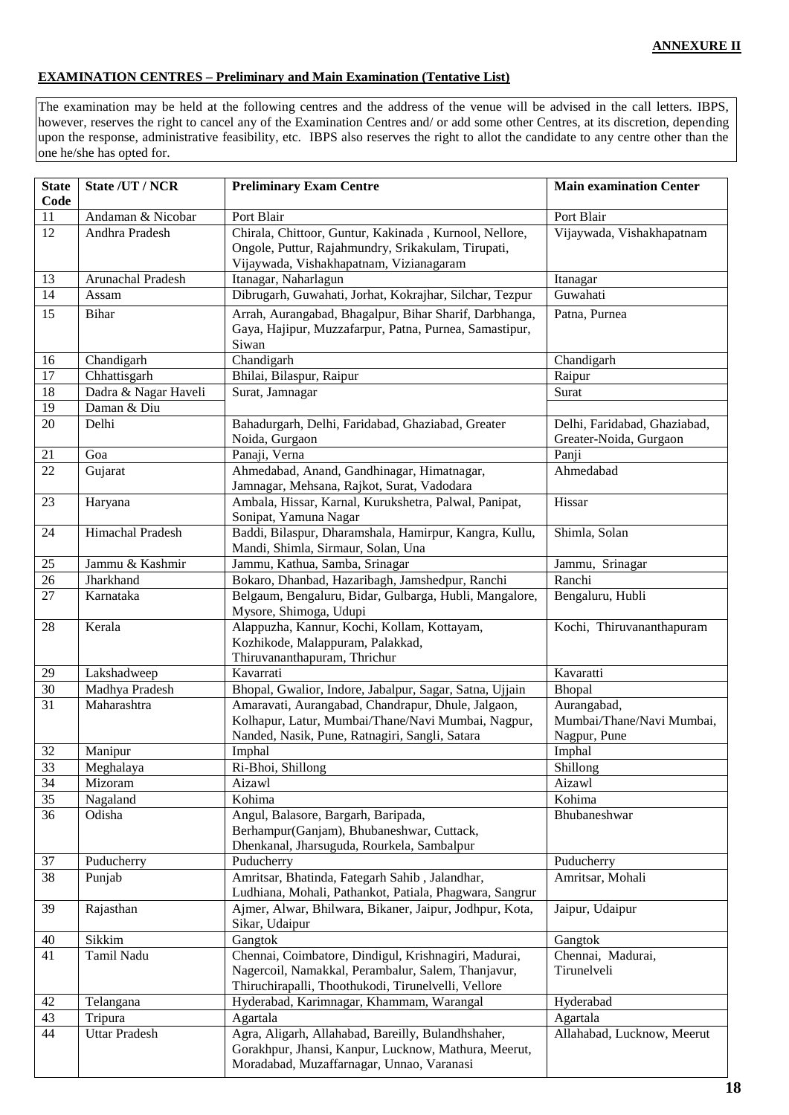## **EXAMINATION CENTRES – Preliminary and Main Examination (Tentative List)**

The examination may be held at the following centres and the address of the venue will be advised in the call letters. IBPS, however, reserves the right to cancel any of the Examination Centres and/ or add some other Centres, at its discretion, depending upon the response, administrative feasibility, etc. IBPS also reserves the right to allot the candidate to any centre other than the one he/she has opted for.

| <b>State</b><br>Code | State /UT / NCR               | <b>Preliminary Exam Centre</b>                                                                                | <b>Main examination Center</b>           |
|----------------------|-------------------------------|---------------------------------------------------------------------------------------------------------------|------------------------------------------|
| 11                   | Andaman & Nicobar             | Port Blair                                                                                                    | Port Blair                               |
| 12                   | Andhra Pradesh                | Chirala, Chittoor, Guntur, Kakinada, Kurnool, Nellore,                                                        | Vijaywada, Vishakhapatnam                |
|                      |                               | Ongole, Puttur, Rajahmundry, Srikakulam, Tirupati,                                                            |                                          |
|                      |                               | Vijaywada, Vishakhapatnam, Vizianagaram                                                                       |                                          |
| 13                   | Arunachal Pradesh             | Itanagar, Naharlagun                                                                                          | Itanagar                                 |
| $\overline{14}$      | Assam                         | Dibrugarh, Guwahati, Jorhat, Kokrajhar, Silchar, Tezpur                                                       | Guwahati                                 |
| 15                   | <b>Bihar</b>                  | Arrah, Aurangabad, Bhagalpur, Bihar Sharif, Darbhanga,                                                        | Patna, Purnea                            |
|                      |                               | Gaya, Hajipur, Muzzafarpur, Patna, Purnea, Samastipur,                                                        |                                          |
|                      |                               | Siwan                                                                                                         |                                          |
| 16                   | Chandigarh                    | Chandigarh                                                                                                    | Chandigarh                               |
| 17                   | Chhattisgarh                  | Bhilai, Bilaspur, Raipur                                                                                      | Raipur                                   |
| 18                   | Dadra & Nagar Haveli          | Surat, Jamnagar                                                                                               | Surat                                    |
| 19                   | Daman & Diu                   |                                                                                                               |                                          |
| 20                   | Delhi                         | Bahadurgarh, Delhi, Faridabad, Ghaziabad, Greater                                                             | Delhi, Faridabad, Ghaziabad,             |
|                      |                               | Noida, Gurgaon                                                                                                | Greater-Noida, Gurgaon                   |
| 21                   | Goa                           | Panaji, Verna                                                                                                 | Panji                                    |
| 22                   | Gujarat                       | Ahmedabad, Anand, Gandhinagar, Himatnagar,                                                                    | Ahmedabad                                |
|                      |                               | Jamnagar, Mehsana, Rajkot, Surat, Vadodara                                                                    |                                          |
| 23                   | Haryana                       | Ambala, Hissar, Karnal, Kurukshetra, Palwal, Panipat,                                                         | Hissar                                   |
|                      |                               | Sonipat, Yamuna Nagar                                                                                         |                                          |
| 24                   | <b>Himachal Pradesh</b>       | Baddi, Bilaspur, Dharamshala, Hamirpur, Kangra, Kullu,                                                        | Shimla, Solan                            |
|                      |                               | Mandi, Shimla, Sirmaur, Solan, Una                                                                            |                                          |
| 25                   | Jammu & Kashmir               | Jammu, Kathua, Samba, Srinagar                                                                                | Jammu, Srinagar                          |
| $\overline{26}$      | Jharkhand                     | Bokaro, Dhanbad, Hazaribagh, Jamshedpur, Ranchi                                                               | Ranchi                                   |
| 27                   | Karnataka                     | Belgaum, Bengaluru, Bidar, Gulbarga, Hubli, Mangalore,                                                        | Bengaluru, Hubli                         |
|                      |                               | Mysore, Shimoga, Udupi                                                                                        |                                          |
| 28                   | Kerala                        | Alappuzha, Kannur, Kochi, Kollam, Kottayam,                                                                   | Kochi, Thiruvananthapuram                |
|                      |                               | Kozhikode, Malappuram, Palakkad,                                                                              |                                          |
|                      |                               | Thiruvananthapuram, Thrichur                                                                                  |                                          |
| 29                   | Lakshadweep                   | Kavarrati                                                                                                     | Kavaratti                                |
| 30<br>31             | Madhya Pradesh<br>Maharashtra | Bhopal, Gwalior, Indore, Jabalpur, Sagar, Satna, Ujjain<br>Amaravati, Aurangabad, Chandrapur, Dhule, Jalgaon, | Bhopal                                   |
|                      |                               | Kolhapur, Latur, Mumbai/Thane/Navi Mumbai, Nagpur,                                                            | Aurangabad,<br>Mumbai/Thane/Navi Mumbai, |
|                      |                               | Nanded, Nasik, Pune, Ratnagiri, Sangli, Satara                                                                | Nagpur, Pune                             |
| 32                   | Manipur                       | Imphal                                                                                                        | Imphal                                   |
| 33                   | Meghalaya                     | Ri-Bhoi, Shillong                                                                                             | Shillong                                 |
| 34                   | Mizoram                       | Aizawl                                                                                                        | Aizawl                                   |
| 35                   | Nagaland                      | Kohima                                                                                                        | Kohima                                   |
| 36                   | Odisha                        | Angul, Balasore, Bargarh, Baripada,                                                                           | Bhubaneshwar                             |
|                      |                               | Berhampur(Ganjam), Bhubaneshwar, Cuttack,                                                                     |                                          |
|                      |                               | Dhenkanal, Jharsuguda, Rourkela, Sambalpur                                                                    |                                          |
| 37                   | Puducherry                    | Puducherry                                                                                                    | Puducherry                               |
| 38                   | Punjab                        | Amritsar, Bhatinda, Fategarh Sahib, Jalandhar,                                                                | Amritsar, Mohali                         |
|                      |                               | Ludhiana, Mohali, Pathankot, Patiala, Phagwara, Sangrur                                                       |                                          |
| 39                   | Rajasthan                     | Ajmer, Alwar, Bhilwara, Bikaner, Jaipur, Jodhpur, Kota,                                                       | Jaipur, Udaipur                          |
|                      |                               | Sikar, Udaipur                                                                                                |                                          |
| 40                   | Sikkim                        | Gangtok                                                                                                       | Gangtok                                  |
| 41                   | Tamil Nadu                    | Chennai, Coimbatore, Dindigul, Krishnagiri, Madurai,                                                          | Chennai, Madurai,                        |
|                      |                               | Nagercoil, Namakkal, Perambalur, Salem, Thanjavur,                                                            | Tirunelveli                              |
|                      |                               | Thiruchirapalli, Thoothukodi, Tirunelvelli, Vellore                                                           |                                          |
| 42                   | Telangana                     | Hyderabad, Karimnagar, Khammam, Warangal                                                                      | Hyderabad                                |
| 43                   | Tripura                       | Agartala                                                                                                      | Agartala                                 |
| 44                   | <b>Uttar Pradesh</b>          | Agra, Aligarh, Allahabad, Bareilly, Bulandhshaher,                                                            | Allahabad, Lucknow, Meerut               |
|                      |                               | Gorakhpur, Jhansi, Kanpur, Lucknow, Mathura, Meerut,                                                          |                                          |
|                      |                               | Moradabad, Muzaffarnagar, Unnao, Varanasi                                                                     |                                          |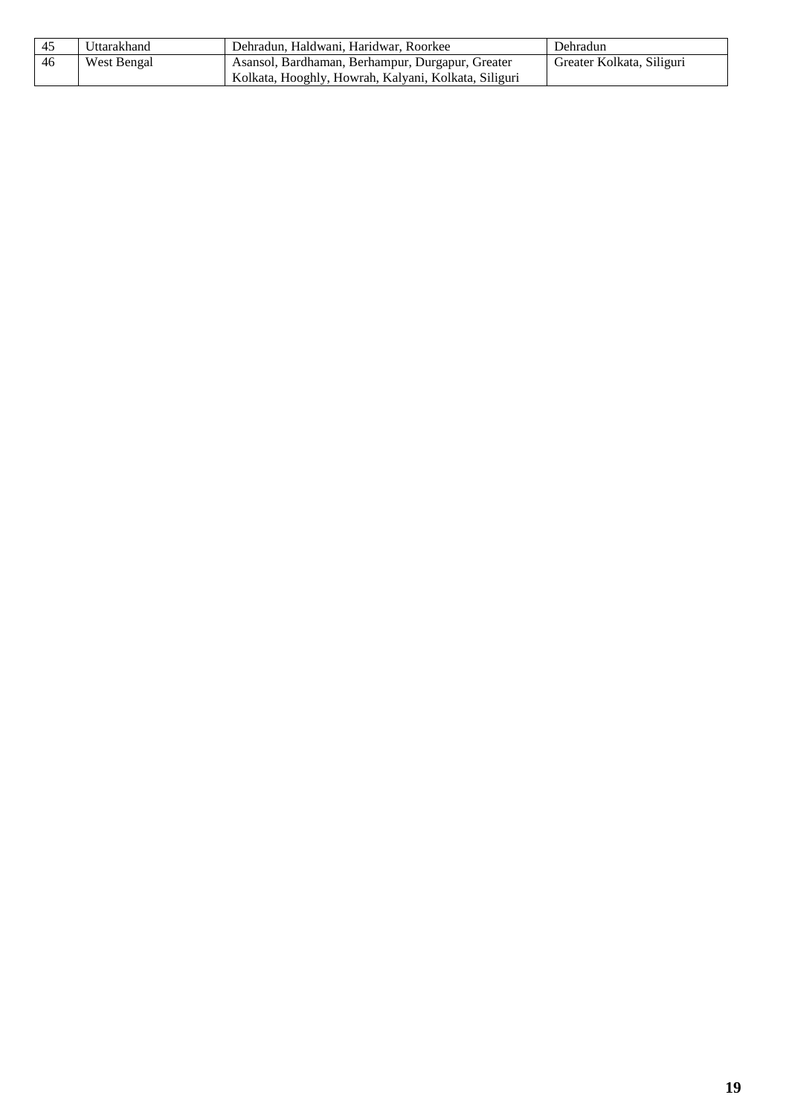| -45 | Uttarakhand | Dehradun, Haldwani, Haridwar, Roorkee                | Dehradun                  |
|-----|-------------|------------------------------------------------------|---------------------------|
| -46 | West Bengal | Asansol, Bardhaman, Berhampur, Durgapur, Greater     | Greater Kolkata, Siliguri |
|     |             | Kolkata, Hooghly, Howrah, Kalyani, Kolkata, Siliguri |                           |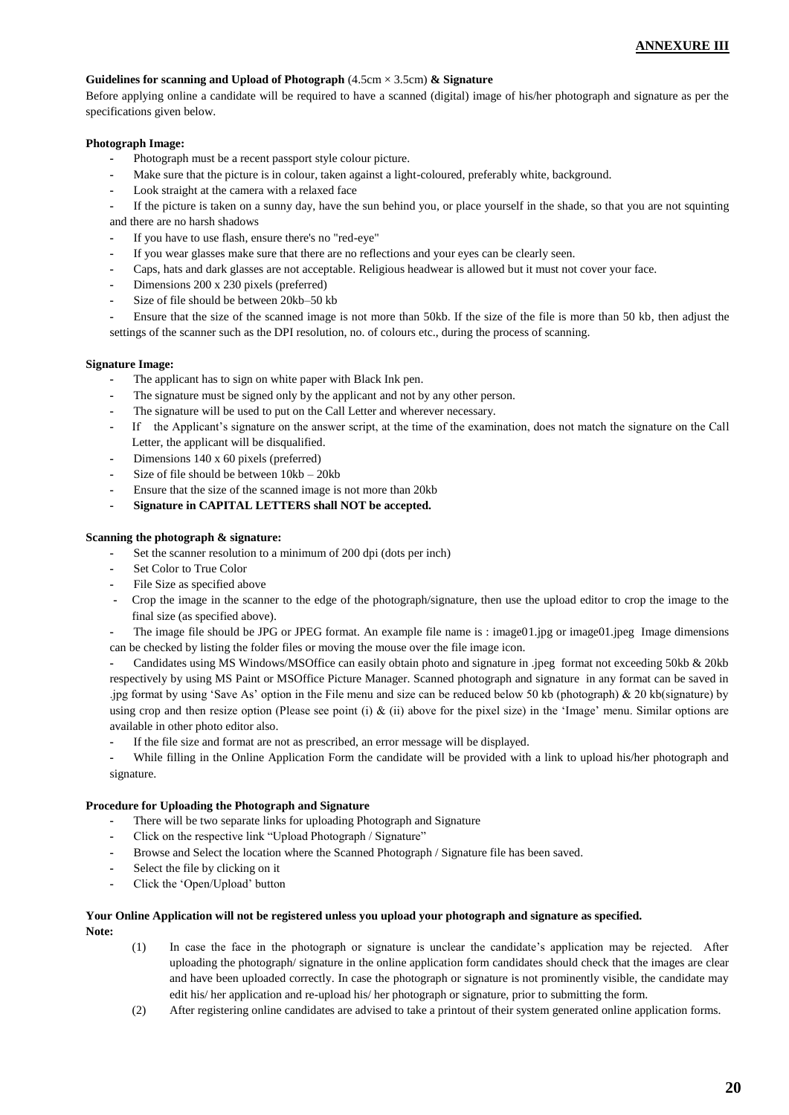#### **Guidelines for scanning and Upload of Photograph** (4.5cm × 3.5cm) **& Signature**

Before applying online a candidate will be required to have a scanned (digital) image of his/her photograph and signature as per the specifications given below.

#### **Photograph Image:**

- **-** Photograph must be a recent passport style colour picture.
- Make sure that the picture is in colour, taken against a light-coloured, preferably white, background.
- **-** Look straight at the camera with a relaxed face
- **-** If the picture is taken on a sunny day, have the sun behind you, or place yourself in the shade, so that you are not squinting and there are no harsh shadows
- **-** If you have to use flash, ensure there's no "red-eye"
- **-** If you wear glasses make sure that there are no reflections and your eyes can be clearly seen.
- **-** Caps, hats and dark glasses are not acceptable. Religious headwear is allowed but it must not cover your face.
- **-** Dimensions 200 x 230 pixels (preferred)
- **-** Size of file should be between 20kb–50 kb
- **-** Ensure that the size of the scanned image is not more than 50kb. If the size of the file is more than 50 kb, then adjust the settings of the scanner such as the DPI resolution, no. of colours etc., during the process of scanning.

#### **Signature Image:**

- **-** The applicant has to sign on white paper with Black Ink pen.
- The signature must be signed only by the applicant and not by any other person.
- **-** The signature will be used to put on the Call Letter and wherever necessary.
- **-** If the Applicant's signature on the answer script, at the time of the examination, does not match the signature on the Call Letter, the applicant will be disqualified.
- **-** Dimensions 140 x 60 pixels (preferred)
- **-** Size of file should be between 10kb 20kb
- **-** Ensure that the size of the scanned image is not more than 20kb
- **- Signature in CAPITAL LETTERS shall NOT be accepted.**

#### **Scanning the photograph & signature:**

- **-** Set the scanner resolution to a minimum of 200 dpi (dots per inch)
- **-** Set Color to True Color
- **-** File Size as specified above
- **-** Crop the image in the scanner to the edge of the photograph/signature, then use the upload editor to crop the image to the final size (as specified above).
- **-** The image file should be JPG or JPEG format. An example file name is : image01.jpg or image01.jpeg Image dimensions
- can be checked by listing the folder files or moving the mouse over the file image icon.

**-** Candidates using MS Windows/MSOffice can easily obtain photo and signature in .jpeg format not exceeding 50kb & 20kb respectively by using MS Paint or MSOffice Picture Manager. Scanned photograph and signature in any format can be saved in .jpg format by using 'Save As' option in the File menu and size can be reduced below 50 kb (photograph) & 20 kb(signature) by using crop and then resize option (Please see point (i)  $\&$  (ii) above for the pixel size) in the 'Image' menu. Similar options are available in other photo editor also.

**-** If the file size and format are not as prescribed, an error message will be displayed.

**-** While filling in the Online Application Form the candidate will be provided with a link to upload his/her photograph and signature.

#### **Procedure for Uploading the Photograph and Signature**

- **-** There will be two separate links for uploading Photograph and Signature
- **-** Click on the respective link "Upload Photograph / Signature"
- **-** Browse and Select the location where the Scanned Photograph / Signature file has been saved.
- **-** Select the file by clicking on it
- **-** Click the 'Open/Upload' button

## **Your Online Application will not be registered unless you upload your photograph and signature as specified.**

**Note:**

- (1) In case the face in the photograph or signature is unclear the candidate's application may be rejected. After uploading the photograph/ signature in the online application form candidates should check that the images are clear and have been uploaded correctly. In case the photograph or signature is not prominently visible, the candidate may edit his/ her application and re-upload his/ her photograph or signature, prior to submitting the form.
- (2) After registering online candidates are advised to take a printout of their system generated online application forms.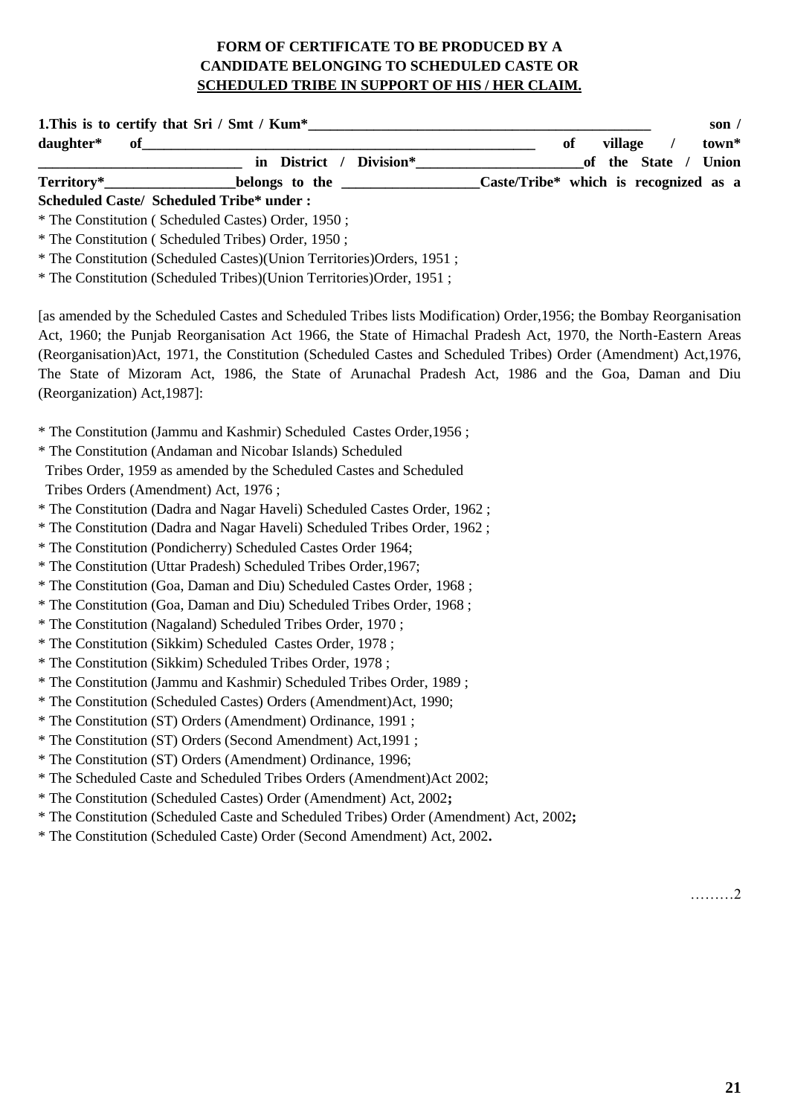# **FORM OF CERTIFICATE TO BE PRODUCED BY A CANDIDATE BELONGING TO SCHEDULED CASTE OR SCHEDULED TRIBE IN SUPPORT OF HIS / HER CLAIM.**

| daughter*                            |                                                                           | son $/$<br>of<br>village<br>$\prime$<br>town*                                                                                                                                                                                                                                                                                                                                                                                                                      |
|--------------------------------------|---------------------------------------------------------------------------|--------------------------------------------------------------------------------------------------------------------------------------------------------------------------------------------------------------------------------------------------------------------------------------------------------------------------------------------------------------------------------------------------------------------------------------------------------------------|
|                                      |                                                                           | of the State / Union                                                                                                                                                                                                                                                                                                                                                                                                                                               |
| Territory*                           |                                                                           | belongs to the Caste/Tribe* which is recognized as a                                                                                                                                                                                                                                                                                                                                                                                                               |
|                                      | <b>Scheduled Caste/ Scheduled Tribe* under:</b>                           |                                                                                                                                                                                                                                                                                                                                                                                                                                                                    |
|                                      | * The Constitution (Scheduled Castes) Order, 1950;                        |                                                                                                                                                                                                                                                                                                                                                                                                                                                                    |
|                                      | * The Constitution (Scheduled Tribes) Order, 1950;                        |                                                                                                                                                                                                                                                                                                                                                                                                                                                                    |
|                                      | * The Constitution (Scheduled Castes)(Union Territories)Orders, 1951;     |                                                                                                                                                                                                                                                                                                                                                                                                                                                                    |
|                                      | * The Constitution (Scheduled Tribes)(Union Territories)Order, 1951;      |                                                                                                                                                                                                                                                                                                                                                                                                                                                                    |
| (Reorganization) Act, 1987]:         |                                                                           | [as amended by the Scheduled Castes and Scheduled Tribes lists Modification) Order, 1956; the Bombay Reorganisation<br>Act, 1960; the Punjab Reorganisation Act 1966, the State of Himachal Pradesh Act, 1970, the North-Eastern Areas<br>(Reorganisation) Act, 1971, the Constitution (Scheduled Castes and Scheduled Tribes) Order (Amendment) Act, 1976,<br>The State of Mizoram Act, 1986, the State of Arunachal Pradesh Act, 1986 and the Goa, Daman and Diu |
|                                      | * The Constitution (Jammu and Kashmir) Scheduled Castes Order, 1956;      |                                                                                                                                                                                                                                                                                                                                                                                                                                                                    |
|                                      | * The Constitution (Andaman and Nicobar Islands) Scheduled                |                                                                                                                                                                                                                                                                                                                                                                                                                                                                    |
|                                      | Tribes Order, 1959 as amended by the Scheduled Castes and Scheduled       |                                                                                                                                                                                                                                                                                                                                                                                                                                                                    |
| Tribes Orders (Amendment) Act, 1976; |                                                                           |                                                                                                                                                                                                                                                                                                                                                                                                                                                                    |
|                                      | * The Constitution (Dadra and Nagar Haveli) Scheduled Castes Order, 1962; |                                                                                                                                                                                                                                                                                                                                                                                                                                                                    |
|                                      | * The Constitution (Dadra and Nagar Haveli) Scheduled Tribes Order, 1962; |                                                                                                                                                                                                                                                                                                                                                                                                                                                                    |
|                                      | * The Constitution (Pondicherry) Scheduled Castes Order 1964;             |                                                                                                                                                                                                                                                                                                                                                                                                                                                                    |
|                                      | * The Constitution (Uttar Pradesh) Scheduled Tribes Order, 1967;          |                                                                                                                                                                                                                                                                                                                                                                                                                                                                    |
|                                      | * The Constitution (Goa, Daman and Diu) Scheduled Castes Order, 1968;     |                                                                                                                                                                                                                                                                                                                                                                                                                                                                    |
|                                      | * The Constitution (Goa, Daman and Diu) Scheduled Tribes Order, 1968;     |                                                                                                                                                                                                                                                                                                                                                                                                                                                                    |
|                                      | * The Constitution (Nagaland) Scheduled Tribes Order, 1970;               |                                                                                                                                                                                                                                                                                                                                                                                                                                                                    |
|                                      | * The Constitution (Sikkim) Scheduled Castes Order, 1978;                 |                                                                                                                                                                                                                                                                                                                                                                                                                                                                    |
|                                      | * The Constitution (Sikkim) Scheduled Tribes Order, 1978;                 |                                                                                                                                                                                                                                                                                                                                                                                                                                                                    |
|                                      | * The Constitution (Jammu and Kashmir) Scheduled Tribes Order, 1989;      |                                                                                                                                                                                                                                                                                                                                                                                                                                                                    |
|                                      | * The Constitution (Scheduled Castes) Orders (Amendment) Act, 1990;       |                                                                                                                                                                                                                                                                                                                                                                                                                                                                    |
|                                      | * The Constitution (ST) Orders (Amendment) Ordinance, 1991;               |                                                                                                                                                                                                                                                                                                                                                                                                                                                                    |

- \* The Constitution (ST) Orders (Second Amendment) Act,1991 ;
- \* The Constitution (ST) Orders (Amendment) Ordinance, 1996;
- \* The Scheduled Caste and Scheduled Tribes Orders (Amendment)Act 2002;
- \* The Constitution (Scheduled Castes) Order (Amendment) Act, 2002**;**
- \* The Constitution (Scheduled Caste and Scheduled Tribes) Order (Amendment) Act, 2002**;**
- \* The Constitution (Scheduled Caste) Order (Second Amendment) Act, 2002**.**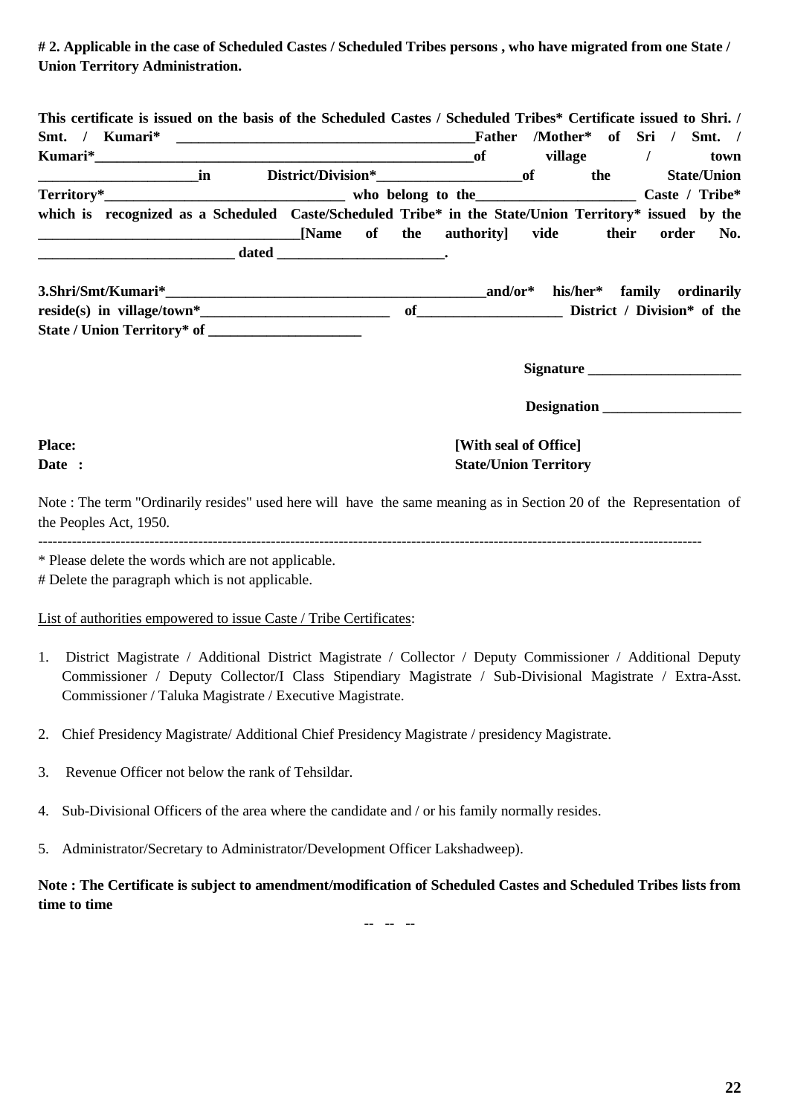**# 2. Applicable in the case of Scheduled Castes / Scheduled Tribes persons , who have migrated from one State / Union Territory Administration.**

| This certificate is issued on the basis of the Scheduled Castes / Scheduled Tribes* Certificate issued to Shri. / |    |                                                 |                                              |        |                          |                |                    |
|-------------------------------------------------------------------------------------------------------------------|----|-------------------------------------------------|----------------------------------------------|--------|--------------------------|----------------|--------------------|
| Smt. / Kumari*                                                                                                    |    | <u> 1980 - Johann John Stone, mars et al. (</u> |                                              | Father | /Mother* of Sri / Smt. / |                |                    |
|                                                                                                                   |    |                                                 | <b>of</b>                                    |        | village                  |                | town               |
|                                                                                                                   | in |                                                 |                                              |        | the                      |                | <b>State/Union</b> |
| $Territory*$ who belong to the                                                                                    |    |                                                 |                                              |        |                          | Caste / Tribe* |                    |
| which is recognized as a Scheduled Caste/Scheduled Tribe* in the State/Union Territory* issued by the             |    |                                                 |                                              |        |                          |                |                    |
|                                                                                                                   |    |                                                 | [Name of the authority] vide their order No. |        |                          |                |                    |
|                                                                                                                   |    |                                                 |                                              |        |                          |                |                    |

| 3.Shri/Smt/Kumari*          | and/or $*$ |  | his/her* family ordinarily  |
|-----------------------------|------------|--|-----------------------------|
| reside(s) in village/town*  |            |  | District / Division* of the |
| State / Union Territory* of |            |  |                             |

**Signature \_\_\_\_\_\_\_\_\_\_\_\_\_\_\_\_\_\_\_\_** 

 **Designation \_\_\_\_\_\_\_\_\_\_\_\_\_\_\_\_\_\_\_**

# **Place:** [With seal of Office] **Date** : State/Union Territory

Note : The term "Ordinarily resides" used here will have the same meaning as in Section 20 of the Representation of the Peoples Act, 1950.

-----------------------------------------------------------------------------------------------------------------------------------------

\* Please delete the words which are not applicable.

# Delete the paragraph which is not applicable.

List of authorities empowered to issue Caste / Tribe Certificates:

- 1. District Magistrate / Additional District Magistrate / Collector / Deputy Commissioner / Additional Deputy Commissioner / Deputy Collector/I Class Stipendiary Magistrate / Sub-Divisional Magistrate / Extra-Asst. Commissioner / Taluka Magistrate / Executive Magistrate.
- 2. Chief Presidency Magistrate/ Additional Chief Presidency Magistrate / presidency Magistrate.
- 3. Revenue Officer not below the rank of Tehsildar.
- 4. Sub-Divisional Officers of the area where the candidate and / or his family normally resides.
- 5. Administrator/Secretary to Administrator/Development Officer Lakshadweep).

**Note : The Certificate is subject to amendment/modification of Scheduled Castes and Scheduled Tribes lists from time to time**

-- -- --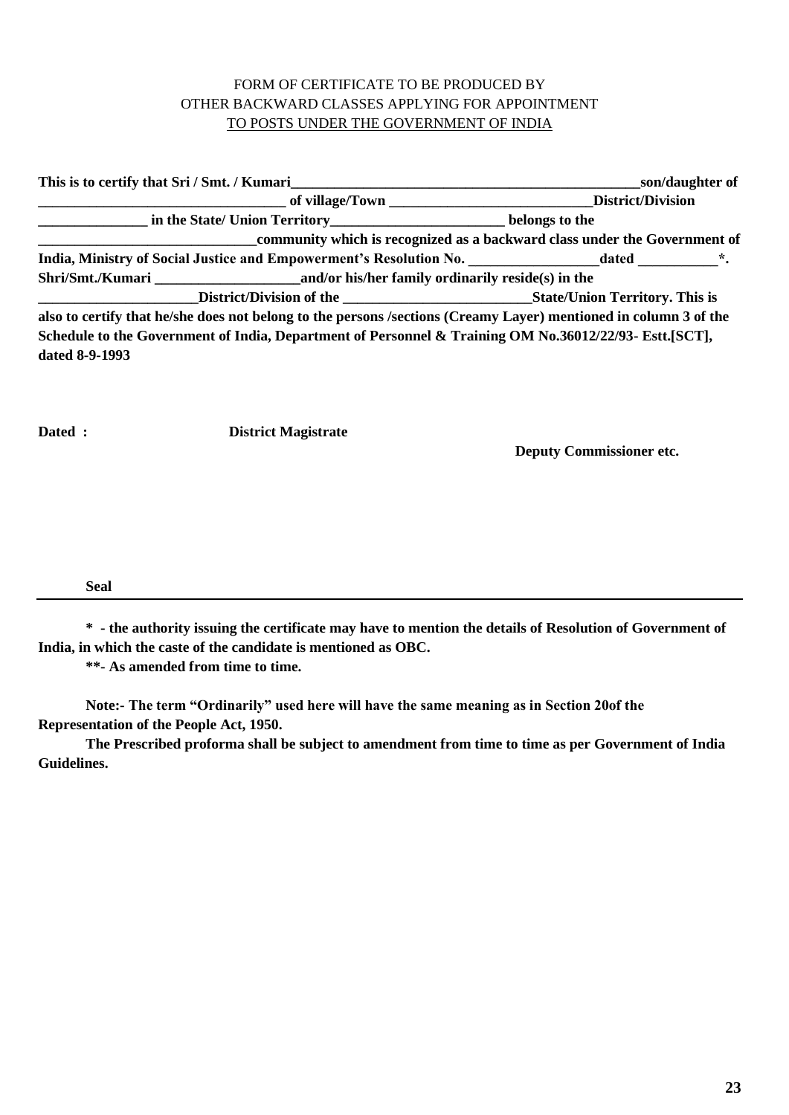# FORM OF CERTIFICATE TO BE PRODUCED BY OTHER BACKWARD CLASSES APPLYING FOR APPOINTMENT TO POSTS UNDER THE GOVERNMENT OF INDIA

|                | This is to certify that Sri / Smt. / Kumari | son/daughter of                                                                                                  |
|----------------|---------------------------------------------|------------------------------------------------------------------------------------------------------------------|
|                |                                             | District/Division                                                                                                |
|                |                                             |                                                                                                                  |
|                |                                             | community which is recognized as a backward class under the Government of                                        |
|                |                                             | India, Ministry of Social Justice and Empowerment's Resolution No. ______________ dated __________*.             |
|                |                                             |                                                                                                                  |
|                |                                             |                                                                                                                  |
|                |                                             | also to certify that he/she does not belong to the persons /sections (Creamy Layer) mentioned in column 3 of the |
|                |                                             | Schedule to the Government of India, Department of Personnel & Training OM No.36012/22/93- Estt.[SCT],           |
| dated 8-9-1993 |                                             |                                                                                                                  |

**Dated : District Magistrate**

**Deputy Commissioner etc.**

**Seal** 

**\* - the authority issuing the certificate may have to mention the details of Resolution of Government of India, in which the caste of the candidate is mentioned as OBC.**

**\*\*- As amended from time to time.**

**Note:- The term "Ordinarily" used here will have the same meaning as in Section 20of the Representation of the People Act, 1950.** 

**The Prescribed proforma shall be subject to amendment from time to time as per Government of India Guidelines.**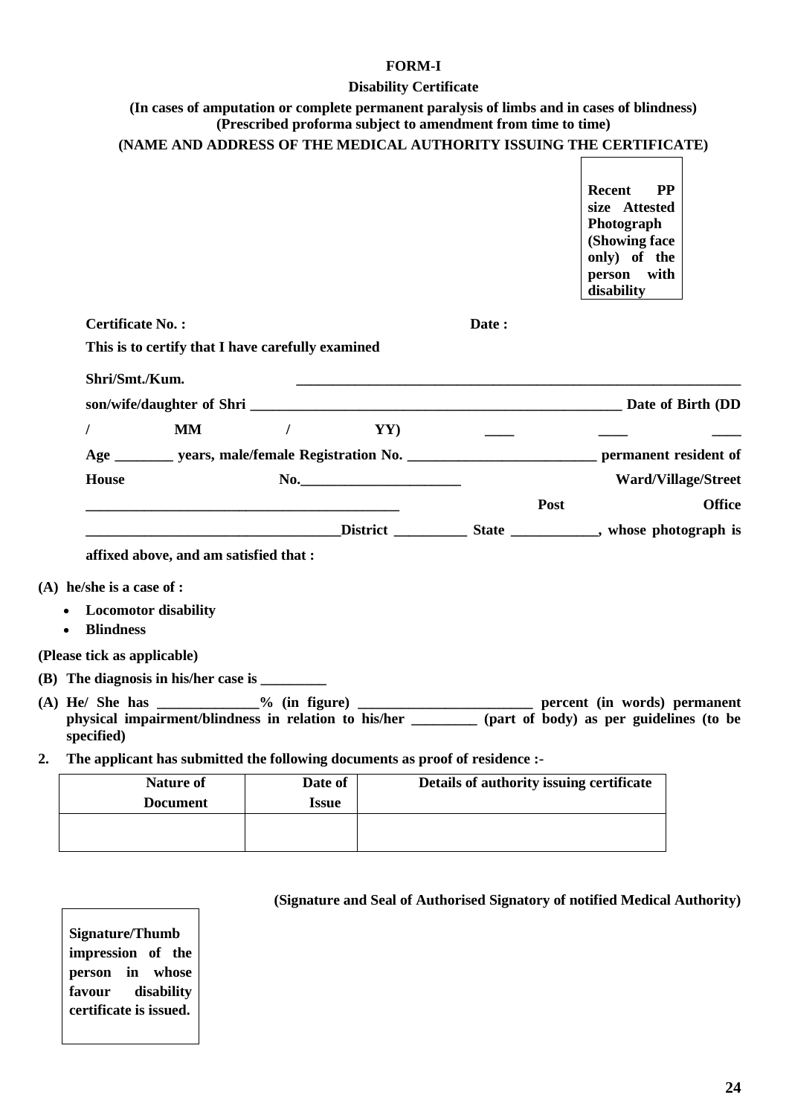## **FORM-I**

## **Disability Certificate**

| (In cases of amputation or complete permanent paralysis of limbs and in cases of blindness) |
|---------------------------------------------------------------------------------------------|
| (Prescribed proforma subject to amendment from time to time)                                |

| (NAME AND ADDRESS OF THE MEDICAL AUTHORITY ISSUING THE CERTIFICATE) |
|---------------------------------------------------------------------|
|---------------------------------------------------------------------|

|    |                                                                              |                               |                                          | <b>PP</b><br>Recent<br>size Attested<br>Photograph<br>(Showing face<br>only) of the<br>person with<br>disability                                                                                          |
|----|------------------------------------------------------------------------------|-------------------------------|------------------------------------------|-----------------------------------------------------------------------------------------------------------------------------------------------------------------------------------------------------------|
|    | <b>Certificate No.:</b>                                                      |                               | Date:                                    |                                                                                                                                                                                                           |
|    | This is to certify that I have carefully examined                            |                               |                                          |                                                                                                                                                                                                           |
|    | Shri/Smt./Kum.                                                               |                               |                                          |                                                                                                                                                                                                           |
|    |                                                                              |                               |                                          |                                                                                                                                                                                                           |
|    | $\prime$<br><b>MM</b>                                                        | $\sqrt{ }$                    | YY)                                      |                                                                                                                                                                                                           |
|    |                                                                              |                               |                                          | Age ___________ years, male/female Registration No. ______________________________ permanent resident of                                                                                                  |
|    | House                                                                        | No.                           |                                          | <b>Ward/Village/Street</b>                                                                                                                                                                                |
|    |                                                                              |                               | Post                                     | <b>Office</b>                                                                                                                                                                                             |
|    |                                                                              |                               |                                          |                                                                                                                                                                                                           |
|    | affixed above, and am satisfied that :                                       |                               |                                          |                                                                                                                                                                                                           |
|    | $(A)$ he/she is a case of :                                                  |                               |                                          |                                                                                                                                                                                                           |
|    | <b>Locomotor disability</b>                                                  |                               |                                          |                                                                                                                                                                                                           |
|    | <b>Blindness</b><br>$\bullet$                                                |                               |                                          |                                                                                                                                                                                                           |
|    | (Please tick as applicable)                                                  |                               |                                          |                                                                                                                                                                                                           |
|    | (B) The diagnosis in his/her case is $\frac{1}{\sqrt{2}}$                    |                               |                                          |                                                                                                                                                                                                           |
|    | specified)                                                                   |                               |                                          | (A) He/ She has ____________% (in figure) _________________________ percent (in words) permanent<br>physical impairment/blindness in relation to his/her ________ (part of body) as per guidelines (to be |
| 2. | The applicant has submitted the following documents as proof of residence :- |                               |                                          |                                                                                                                                                                                                           |
|    | <b>Nature of</b>                                                             | Date of                       | Details of authority issuing certificate |                                                                                                                                                                                                           |
|    | $\mathbf{r}$ $\mathbf{r}$                                                    | $\mathbf{r}$ and $\mathbf{r}$ |                                          |                                                                                                                                                                                                           |

| Nature of<br><b>Document</b> | Date of<br><i><b>Issue</b></i> | Details of authority issuing certificate |
|------------------------------|--------------------------------|------------------------------------------|
|                              |                                |                                          |
|                              |                                |                                          |

**Signature/Thumb impression of the person in whose favour disability certificate is issued.**

# **(Signature and Seal of Authorised Signatory of notified Medical Authority)**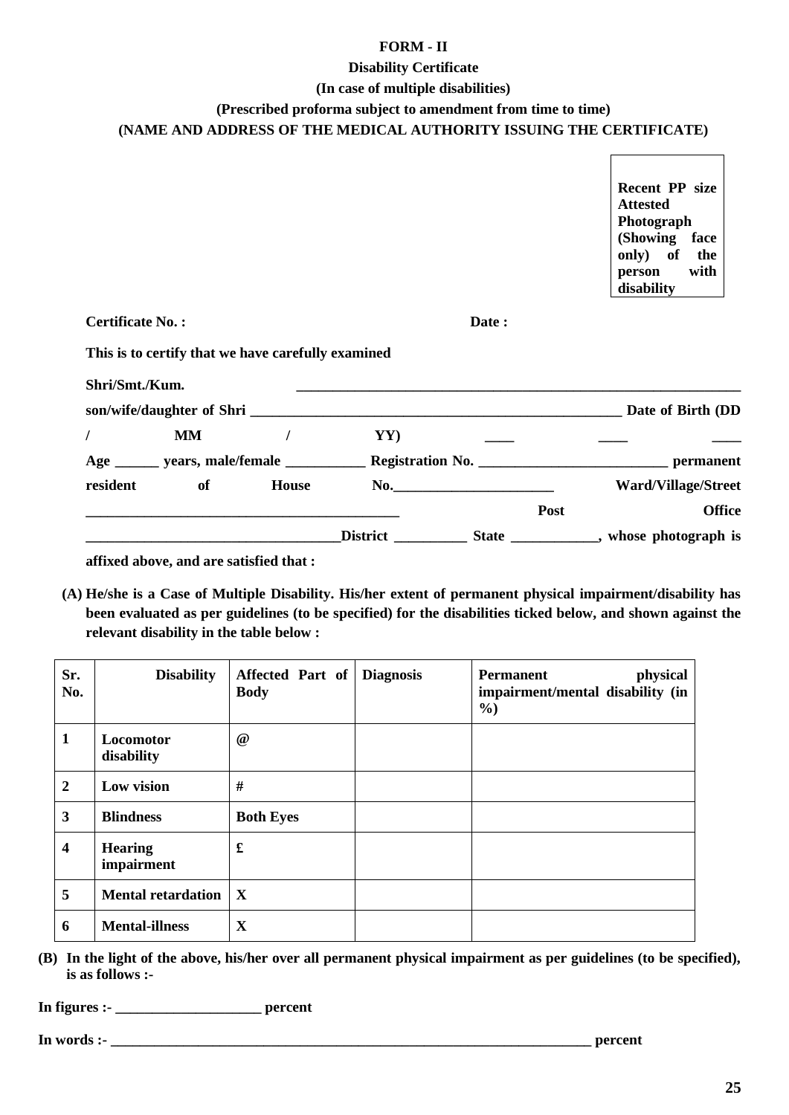# **FORM - II**

# **Disability Certificate**

## **(In case of multiple disabilities)**

# **(Prescribed proforma subject to amendment from time to time)**

# **(NAME AND ADDRESS OF THE MEDICAL AUTHORITY ISSUING THE CERTIFICATE)**

| Shri/Smt./Kum.<br>resident | MM<br>of | House                                              | YY) | No.   | permanent<br><b>Ward/Village/Street</b>                                                                          |
|----------------------------|----------|----------------------------------------------------|-----|-------|------------------------------------------------------------------------------------------------------------------|
|                            |          |                                                    |     |       |                                                                                                                  |
|                            |          |                                                    |     |       |                                                                                                                  |
|                            |          |                                                    |     |       | Date of Birth (DD                                                                                                |
| <b>Certificate No.:</b>    |          | This is to certify that we have carefully examined |     | Date: |                                                                                                                  |
|                            |          |                                                    |     |       | Recent PP size<br><b>Attested</b><br>Photograph<br>(Showing face<br>only) of the<br>with<br>person<br>disability |

**affixed above, and are satisfied that :**

**(A) He/she is a Case of Multiple Disability. His/her extent of permanent physical impairment/disability has been evaluated as per guidelines (to be specified) for the disabilities ticked below, and shown against the relevant disability in the table below :** 

| Sr.<br>No.              | <b>Disability</b>            | Affected Part of<br><b>Body</b> | <b>Diagnosis</b> | physical<br><b>Permanent</b><br>impairment/mental disability (in<br>$\frac{6}{2}$ |
|-------------------------|------------------------------|---------------------------------|------------------|-----------------------------------------------------------------------------------|
| $\mathbf{1}$            | Locomotor<br>disability      | $^{\copyright}$                 |                  |                                                                                   |
| $\boldsymbol{2}$        | Low vision                   | #                               |                  |                                                                                   |
| 3                       | <b>Blindness</b>             | <b>Both Eyes</b>                |                  |                                                                                   |
| $\overline{\mathbf{4}}$ | <b>Hearing</b><br>impairment | £                               |                  |                                                                                   |
| 5                       | <b>Mental retardation</b>    | $\mathbf{X}$                    |                  |                                                                                   |
| 6                       | <b>Mental-illness</b>        | X                               |                  |                                                                                   |

**(B) In the light of the above, his/her over all permanent physical impairment as per guidelines (to be specified), is as follows :-**

**In figures :- \_\_\_\_\_\_\_\_\_\_\_\_\_\_\_\_\_\_\_\_ percent**

**In words :- leading the set of the set of the set of the set of the set of the set of the set of the set of the set of the set of the set of the set of the set of the set of the set of the set of the set of the set of t** 

 $\blacksquare$ 

 $\overline{\phantom{0}}$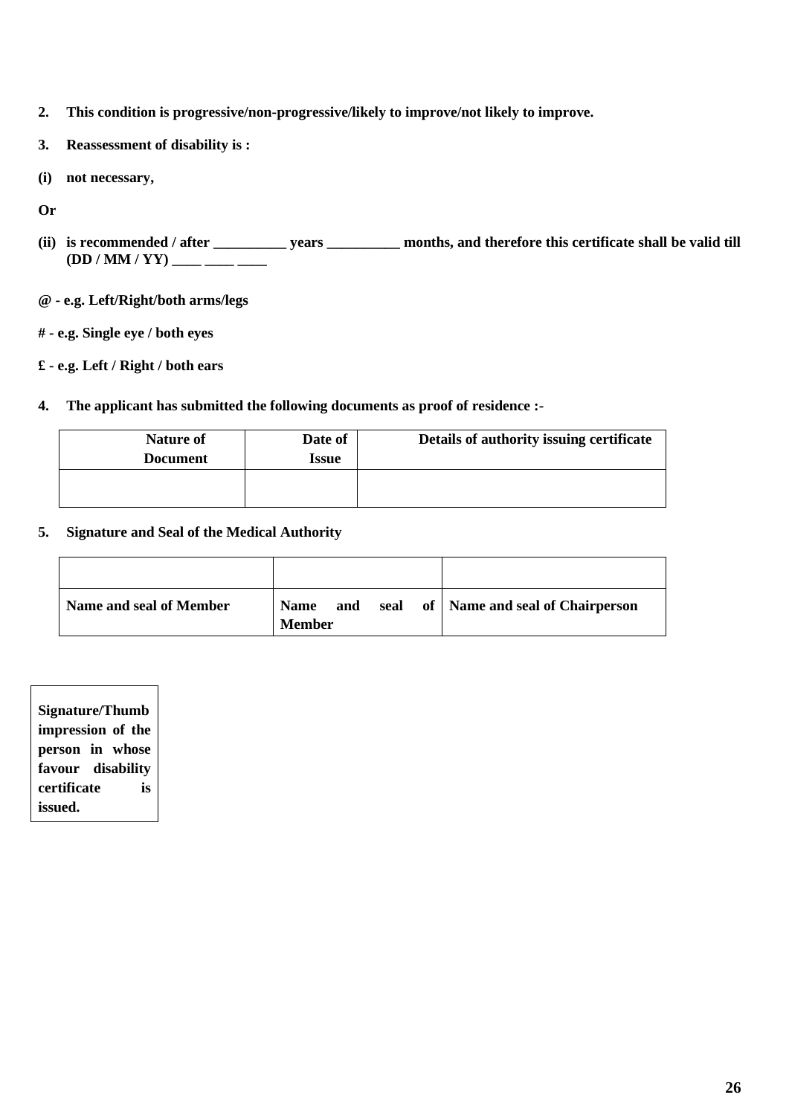- **2. This condition is progressive/non-progressive/likely to improve/not likely to improve.**
- **3. Reassessment of disability is :**
- **(i) not necessary,**
- **Or**
- **(ii) is recommended / after \_\_\_\_\_\_\_\_\_\_ years \_\_\_\_\_\_\_\_\_\_ months, and therefore this certificate shall be valid till**  (DD / MM / YY) \_\_\_\_ \_\_\_ \_\_\_
- **@ - e.g. Left/Right/both arms/legs**
- **# - e.g. Single eye / both eyes**
- **£ - e.g. Left / Right / both ears**
- **4. The applicant has submitted the following documents as proof of residence :-**

| Nature of<br><b>Document</b> | Date of<br>Issue | Details of authority issuing certificate |
|------------------------------|------------------|------------------------------------------|
|                              |                  |                                          |

**5. Signature and Seal of the Medical Authority**

| Name and seal of Member | <b>Name</b><br><b>Member</b> | and | seal | of   Name and seal of Chairperson |
|-------------------------|------------------------------|-----|------|-----------------------------------|

| <b>Signature/Thumb</b> |
|------------------------|
| impression of the      |
| person in whose        |
| favour disability      |
| certificate<br>is      |
| issued.                |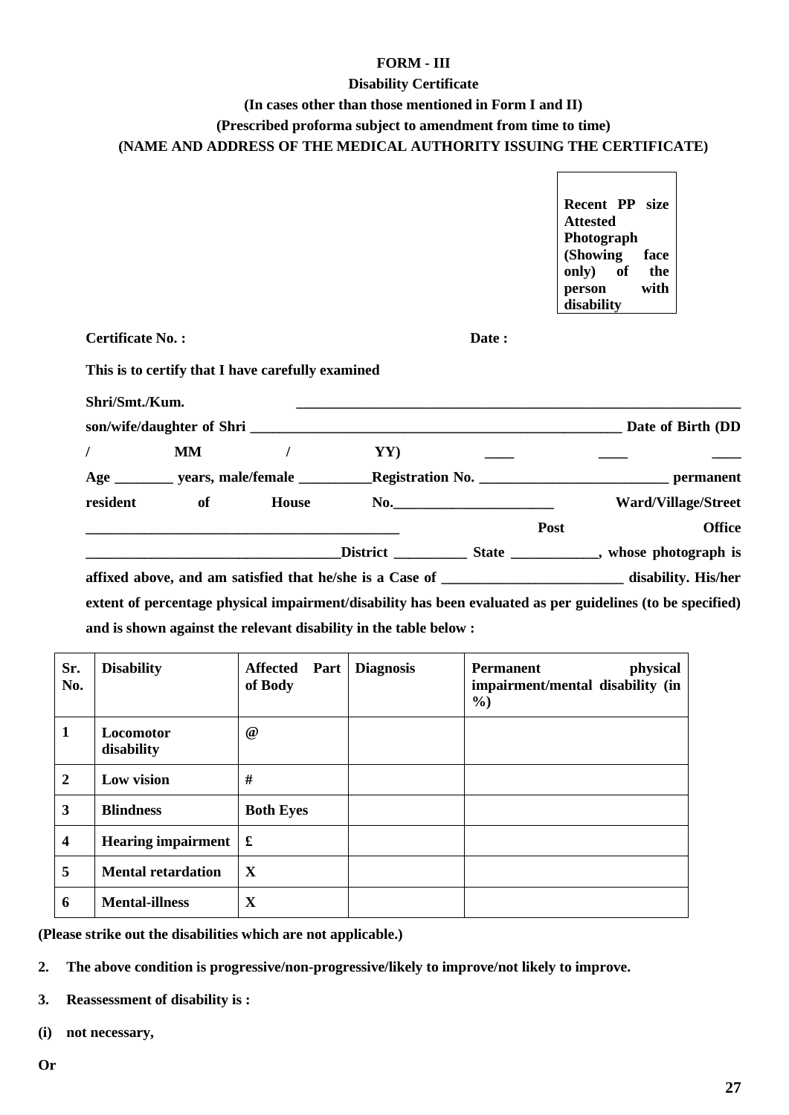## **FORM - III**

#### **Disability Certificate**

## **(In cases other than those mentioned in Form I and II)**

**(Prescribed proforma subject to amendment from time to time)**

**(NAME AND ADDRESS OF THE MEDICAL AUTHORITY ISSUING THE CERTIFICATE)** 

 $\overline{a}$ 

| <b>Certificate No.:</b> |    |                                                   |     | Date: |                            |
|-------------------------|----|---------------------------------------------------|-----|-------|----------------------------|
|                         |    |                                                   |     |       |                            |
|                         |    | This is to certify that I have carefully examined |     |       |                            |
|                         |    |                                                   |     |       |                            |
| Shri/Smt./Kum.          |    |                                                   |     |       |                            |
|                         |    |                                                   |     |       |                            |
|                         | MM | $\prime$                                          | YY) |       |                            |
|                         |    |                                                   |     |       |                            |
| resident                |    | of House                                          |     | No.   | <b>Ward/Village/Street</b> |
|                         |    |                                                   |     |       | <b>Office</b><br>Post      |
|                         |    |                                                   |     |       |                            |

**and is shown against the relevant disability in the table below :**

| Sr.<br>No.              | <b>Disability</b>         | Affected Part<br>of Body | <b>Diagnosis</b> | physical<br><b>Permanent</b><br>impairment/mental disability (in<br>$\%$ |
|-------------------------|---------------------------|--------------------------|------------------|--------------------------------------------------------------------------|
| 1                       | Locomotor<br>disability   | @                        |                  |                                                                          |
| $\overline{2}$          | Low vision                | #                        |                  |                                                                          |
| 3                       | <b>Blindness</b>          | <b>Both Eyes</b>         |                  |                                                                          |
| $\overline{\mathbf{4}}$ | Hearing impairment        | £                        |                  |                                                                          |
| 5                       | <b>Mental retardation</b> | X                        |                  |                                                                          |
| 6                       | <b>Mental-illness</b>     | $\mathbf X$              |                  |                                                                          |

**(Please strike out the disabilities which are not applicable.)**

**2. The above condition is progressive/non-progressive/likely to improve/not likely to improve.**

**3. Reassessment of disability is :**

**(i) not necessary,**